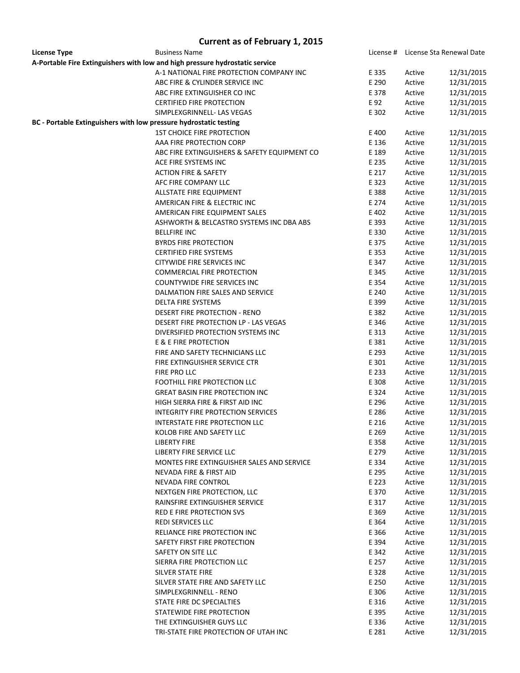| License Type                                                      | <b>Business Name</b>                                                         |       |        | License # License Sta Renewal Date |
|-------------------------------------------------------------------|------------------------------------------------------------------------------|-------|--------|------------------------------------|
|                                                                   | A-Portable Fire Extinguishers with low and high pressure hydrostatic service |       |        |                                    |
|                                                                   | A-1 NATIONAL FIRE PROTECTION COMPANY INC                                     | E 335 | Active | 12/31/2015                         |
|                                                                   | ABC FIRE & CYLINDER SERVICE INC                                              | E 290 | Active | 12/31/2015                         |
|                                                                   | ABC FIRE EXTINGUISHER CO INC                                                 | E 378 | Active | 12/31/2015                         |
|                                                                   | <b>CERTIFIED FIRE PROTECTION</b>                                             | E 92  | Active | 12/31/2015                         |
|                                                                   | SIMPLEXGRINNELL- LAS VEGAS                                                   | E 302 | Active | 12/31/2015                         |
| BC - Portable Extinguishers with low pressure hydrostatic testing |                                                                              |       |        |                                    |
|                                                                   | 1ST CHOICE FIRE PROTECTION                                                   | E 400 | Active | 12/31/2015                         |
|                                                                   |                                                                              |       |        | 12/31/2015                         |
|                                                                   | AAA FIRE PROTECTION CORP                                                     | E 136 | Active |                                    |
|                                                                   | ABC FIRE EXTINGUISHERS & SAFETY EQUIPMENT CO                                 | E 189 | Active | 12/31/2015                         |
|                                                                   | ACE FIRE SYSTEMS INC                                                         | E 235 | Active | 12/31/2015                         |
|                                                                   | <b>ACTION FIRE &amp; SAFETY</b>                                              | E 217 | Active | 12/31/2015                         |
|                                                                   | AFC FIRE COMPANY LLC                                                         | E 323 | Active | 12/31/2015                         |
|                                                                   | ALLSTATE FIRE EQUIPMENT                                                      | E 388 | Active | 12/31/2015                         |
|                                                                   | AMERICAN FIRE & ELECTRIC INC                                                 | E 274 | Active | 12/31/2015                         |
|                                                                   | AMERICAN FIRE EQUIPMENT SALES                                                | E 402 | Active | 12/31/2015                         |
|                                                                   | ASHWORTH & BELCASTRO SYSTEMS INC DBA ABS                                     | E 393 | Active | 12/31/2015                         |
|                                                                   | <b>BELLFIRE INC</b>                                                          | E 330 | Active | 12/31/2015                         |
|                                                                   | <b>BYRDS FIRE PROTECTION</b>                                                 | E 375 | Active | 12/31/2015                         |
|                                                                   | <b>CERTIFIED FIRE SYSTEMS</b>                                                | E 353 | Active | 12/31/2015                         |
|                                                                   | CITYWIDE FIRE SERVICES INC                                                   | E 347 | Active | 12/31/2015                         |
|                                                                   | <b>COMMERCIAL FIRE PROTECTION</b>                                            | E 345 | Active | 12/31/2015                         |
|                                                                   | COUNTYWIDE FIRE SERVICES INC                                                 | E 354 | Active | 12/31/2015                         |
|                                                                   | DALMATION FIRE SALES AND SERVICE                                             | E 240 | Active | 12/31/2015                         |
|                                                                   | DELTA FIRE SYSTEMS                                                           | E 399 | Active | 12/31/2015                         |
|                                                                   | DESERT FIRE PROTECTION - RENO                                                | E 382 | Active | 12/31/2015                         |
|                                                                   | DESERT FIRE PROTECTION LP - LAS VEGAS                                        | E 346 | Active | 12/31/2015                         |
|                                                                   | DIVERSIFIED PROTECTION SYSTEMS INC                                           | E 313 | Active | 12/31/2015                         |
|                                                                   | <b>E &amp; E FIRE PROTECTION</b>                                             |       |        |                                    |
|                                                                   |                                                                              | E 381 | Active | 12/31/2015                         |
|                                                                   | FIRE AND SAFETY TECHNICIANS LLC                                              | E 293 | Active | 12/31/2015                         |
|                                                                   | FIRE EXTINGUISHER SERVICE CTR                                                | E 301 | Active | 12/31/2015                         |
|                                                                   | FIRE PRO LLC                                                                 | E 233 | Active | 12/31/2015                         |
|                                                                   | FOOTHILL FIRE PROTECTION LLC                                                 | E 308 | Active | 12/31/2015                         |
|                                                                   | <b>GREAT BASIN FIRE PROTECTION INC</b>                                       | E 324 | Active | 12/31/2015                         |
|                                                                   | HIGH SIERRA FIRE & FIRST AID INC                                             | E 296 | Active | 12/31/2015                         |
|                                                                   | INTEGRITY FIRE PROTECTION SERVICES                                           | E 286 | Active | 12/31/2015                         |
|                                                                   | <b>INTERSTATE FIRE PROTECTION LLC</b>                                        | E 216 | Active | 12/31/2015                         |
|                                                                   | KOLOB FIRE AND SAFETY LLC                                                    | E 269 | Active | 12/31/2015                         |
|                                                                   | <b>LIBERTY FIRE</b>                                                          | E 358 | Active | 12/31/2015                         |
|                                                                   | LIBERTY FIRE SERVICE LLC                                                     | E 279 | Active | 12/31/2015                         |
|                                                                   | MONTES FIRE EXTINGUISHER SALES AND SERVICE                                   | E 334 | Active | 12/31/2015                         |
|                                                                   | NEVADA FIRE & FIRST AID                                                      | E 295 | Active | 12/31/2015                         |
|                                                                   | NEVADA FIRE CONTROL                                                          | E 223 | Active | 12/31/2015                         |
|                                                                   | NEXTGEN FIRE PROTECTION, LLC                                                 | E 370 | Active | 12/31/2015                         |
|                                                                   | RAINSFIRE EXTINGUISHER SERVICE                                               | E 317 | Active | 12/31/2015                         |
|                                                                   | RED E FIRE PROTECTION SVS                                                    | E 369 | Active | 12/31/2015                         |
|                                                                   | REDI SERVICES LLC                                                            | E 364 | Active | 12/31/2015                         |
|                                                                   | RELIANCE FIRE PROTECTION INC                                                 | E 366 | Active | 12/31/2015                         |
|                                                                   | SAFETY FIRST FIRE PROTECTION                                                 | E 394 | Active | 12/31/2015                         |
|                                                                   | SAFETY ON SITE LLC                                                           | E 342 | Active | 12/31/2015                         |
|                                                                   | SIERRA FIRE PROTECTION LLC                                                   | E 257 | Active | 12/31/2015                         |
|                                                                   |                                                                              |       |        |                                    |
|                                                                   | SILVER STATE FIRE                                                            | E 328 | Active | 12/31/2015                         |
|                                                                   | SILVER STATE FIRE AND SAFETY LLC                                             | E 250 | Active | 12/31/2015                         |
|                                                                   | SIMPLEXGRINNELL - RENO                                                       | E 306 | Active | 12/31/2015                         |
|                                                                   | STATE FIRE DC SPECIALTIES                                                    | E 316 | Active | 12/31/2015                         |
|                                                                   | STATEWIDE FIRE PROTECTION                                                    | E 395 | Active | 12/31/2015                         |
|                                                                   | THE EXTINGUISHER GUYS LLC                                                    | E 336 | Active | 12/31/2015                         |
|                                                                   | TRI-STATE FIRE PROTECTION OF UTAH INC                                        | E 281 | Active | 12/31/2015                         |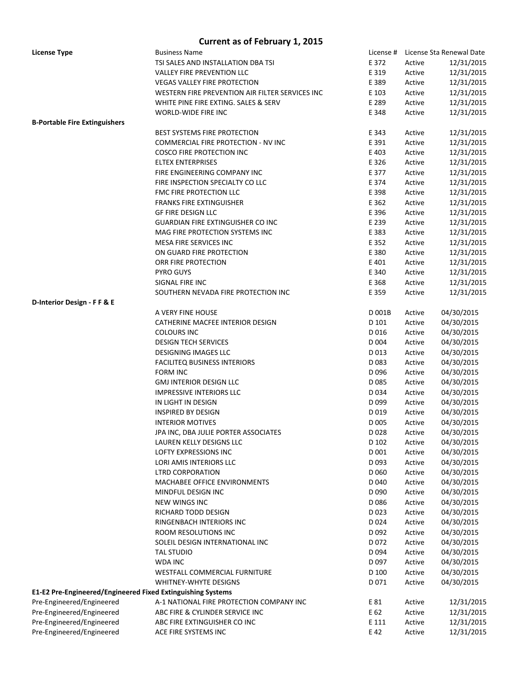| <b>License Type</b>                                         | <b>Business Name</b>                            |                  |        | License # License Sta Renewal Date |
|-------------------------------------------------------------|-------------------------------------------------|------------------|--------|------------------------------------|
|                                                             | TSI SALES AND INSTALLATION DBA TSI              | E 372            | Active | 12/31/2015                         |
|                                                             | <b>VALLEY FIRE PREVENTION LLC</b>               | E 319            | Active | 12/31/2015                         |
|                                                             | <b>VEGAS VALLEY FIRE PROTECTION</b>             | E 389            | Active | 12/31/2015                         |
|                                                             | WESTERN FIRE PREVENTION AIR FILTER SERVICES INC | E 103            | Active | 12/31/2015                         |
|                                                             | WHITE PINE FIRE EXTING. SALES & SERV            | E 289            | Active | 12/31/2015                         |
|                                                             | WORLD-WIDE FIRE INC                             | E 348            | Active | 12/31/2015                         |
| <b>B-Portable Fire Extinguishers</b>                        |                                                 |                  |        |                                    |
|                                                             | <b>BEST SYSTEMS FIRE PROTECTION</b>             |                  |        |                                    |
|                                                             |                                                 | E 343            | Active | 12/31/2015                         |
|                                                             | COMMERCIAL FIRE PROTECTION - NV INC             | E 391            | Active | 12/31/2015                         |
|                                                             | <b>COSCO FIRE PROTECTION INC</b>                | E 403            | Active | 12/31/2015                         |
|                                                             | <b>ELTEX ENTERPRISES</b>                        | E 326            | Active | 12/31/2015                         |
|                                                             | FIRE ENGINEERING COMPANY INC                    | E 377            | Active | 12/31/2015                         |
|                                                             | FIRE INSPECTION SPECIALTY CO LLC                | E 374            | Active | 12/31/2015                         |
|                                                             | FMC FIRE PROTECTION LLC                         | E 398            | Active | 12/31/2015                         |
|                                                             | <b>FRANKS FIRE EXTINGUISHER</b>                 | E 362            | Active | 12/31/2015                         |
|                                                             | <b>GF FIRE DESIGN LLC</b>                       | E 396            | Active | 12/31/2015                         |
|                                                             | <b>GUARDIAN FIRE EXTINGUISHER CO INC</b>        | E 239            | Active | 12/31/2015                         |
|                                                             | MAG FIRE PROTECTION SYSTEMS INC                 | E 383            | Active | 12/31/2015                         |
|                                                             | <b>MESA FIRE SERVICES INC</b>                   | E 352            | Active | 12/31/2015                         |
|                                                             | ON GUARD FIRE PROTECTION                        | E 380            | Active | 12/31/2015                         |
|                                                             | ORR FIRE PROTECTION                             | E 401            | Active | 12/31/2015                         |
|                                                             | PYRO GUYS                                       | E 340            | Active | 12/31/2015                         |
|                                                             | SIGNAL FIRE INC                                 | E 368            | Active | 12/31/2015                         |
|                                                             | SOUTHERN NEVADA FIRE PROTECTION INC             | E 359            | Active | 12/31/2015                         |
| D-Interior Design - F F & E                                 |                                                 |                  |        |                                    |
|                                                             | A VERY FINE HOUSE                               | D 001B           | Active | 04/30/2015                         |
|                                                             | CATHERINE MACFEE INTERIOR DESIGN                | D 101            | Active | 04/30/2015                         |
|                                                             | <b>COLOURS INC</b>                              | D 016            | Active | 04/30/2015                         |
|                                                             | <b>DESIGN TECH SERVICES</b>                     | D 004            | Active | 04/30/2015                         |
|                                                             | <b>DESIGNING IMAGES LLC</b>                     | D 013            | Active | 04/30/2015                         |
|                                                             |                                                 |                  |        |                                    |
|                                                             | <b>FACILITEQ BUSINESS INTERIORS</b>             | D 083            | Active | 04/30/2015                         |
|                                                             | <b>FORM INC</b>                                 | D096             | Active | 04/30/2015                         |
|                                                             | <b>GMJ INTERIOR DESIGN LLC</b>                  | D 085            | Active | 04/30/2015                         |
|                                                             | IMPRESSIVE INTERIORS LLC                        | D 034            | Active | 04/30/2015                         |
|                                                             | IN LIGHT IN DESIGN                              | D 099            | Active | 04/30/2015                         |
|                                                             | <b>INSPIRED BY DESIGN</b>                       | D 019            | Active | 04/30/2015                         |
|                                                             | <b>INTERIOR MOTIVES</b>                         | D 005            | Active | 04/30/2015                         |
|                                                             | JPA INC, DBA JULIE PORTER ASSOCIATES            | D 028            | Active | 04/30/2015                         |
|                                                             | LAUREN KELLY DESIGNS LLC                        | D 102            | Active | 04/30/2015                         |
|                                                             | <b>LOFTY EXPRESSIONS INC</b>                    | D 001            | Active | 04/30/2015                         |
|                                                             | LORI AMIS INTERIORS LLC                         | D 093            | Active | 04/30/2015                         |
|                                                             | <b>LTRD CORPORATION</b>                         | D 060            | Active | 04/30/2015                         |
|                                                             | MACHABEE OFFICE ENVIRONMENTS                    | D 040            | Active | 04/30/2015                         |
|                                                             | MINDFUL DESIGN INC                              | D 090            | Active | 04/30/2015                         |
|                                                             | <b>NEW WINGS INC</b>                            | D086             | Active | 04/30/2015                         |
|                                                             | RICHARD TODD DESIGN                             | D <sub>023</sub> | Active | 04/30/2015                         |
|                                                             | RINGENBACH INTERIORS INC                        | D 024            | Active | 04/30/2015                         |
|                                                             | ROOM RESOLUTIONS INC                            | D 092            | Active | 04/30/2015                         |
|                                                             | SOLEIL DESIGN INTERNATIONAL INC                 | D 072            | Active | 04/30/2015                         |
|                                                             | <b>TAL STUDIO</b>                               | D 094            | Active | 04/30/2015                         |
|                                                             | <b>WDA INC</b>                                  | D 097            | Active | 04/30/2015                         |
|                                                             | WESTFALL COMMERCIAL FURNITURE                   | D 100            | Active | 04/30/2015                         |
|                                                             |                                                 |                  |        |                                    |
|                                                             | WHITNEY-WHYTE DESIGNS                           | D 071            | Active | 04/30/2015                         |
| E1-E2 Pre-Engineered/Engineered Fixed Extinguishing Systems |                                                 |                  |        |                                    |
| Pre-Engineered/Engineered                                   | A-1 NATIONAL FIRE PROTECTION COMPANY INC        | E 81             | Active | 12/31/2015                         |
| Pre-Engineered/Engineered                                   | ABC FIRE & CYLINDER SERVICE INC                 | E 62             | Active | 12/31/2015                         |
| Pre-Engineered/Engineered                                   | ABC FIRE EXTINGUISHER CO INC                    | E 111            | Active | 12/31/2015                         |
| Pre-Engineered/Engineered                                   | ACE FIRE SYSTEMS INC                            | E 42             | Active | 12/31/2015                         |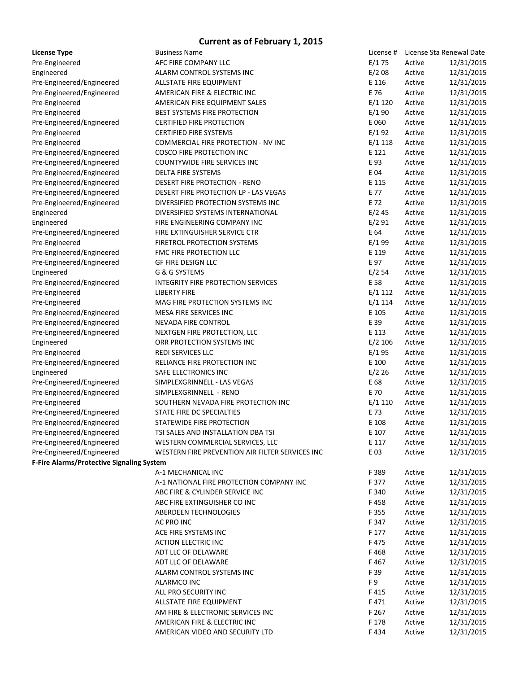| <b>License Type</b>                       | <b>Business Name</b>                            | License #     | License Sta Renewal Date |            |
|-------------------------------------------|-------------------------------------------------|---------------|--------------------------|------------|
| Pre-Engineered                            | AFC FIRE COMPANY LLC                            | E/175         | Active                   | 12/31/2015 |
| Engineered                                | ALARM CONTROL SYSTEMS INC                       | E/208         | Active                   | 12/31/2015 |
| Pre-Engineered/Engineered                 | ALLSTATE FIRE EQUIPMENT                         | E 116         | Active                   | 12/31/2015 |
| Pre-Engineered/Engineered                 | AMERICAN FIRE & ELECTRIC INC                    | E 76          | Active                   | 12/31/2015 |
| Pre-Engineered                            | AMERICAN FIRE EQUIPMENT SALES                   | E/1120        | Active                   | 12/31/2015 |
| Pre-Engineered                            | BEST SYSTEMS FIRE PROTECTION                    | E/190         | Active                   | 12/31/2015 |
| Pre-Engineered/Engineered                 | <b>CERTIFIED FIRE PROTECTION</b>                | E 060         | Active                   | 12/31/2015 |
| Pre-Engineered                            | <b>CERTIFIED FIRE SYSTEMS</b>                   | E/192         | Active                   | 12/31/2015 |
| Pre-Engineered                            | COMMERCIAL FIRE PROTECTION - NV INC             | E/1118        | Active                   | 12/31/2015 |
| Pre-Engineered/Engineered                 | <b>COSCO FIRE PROTECTION INC</b>                | E 121         | Active                   | 12/31/2015 |
| Pre-Engineered/Engineered                 | <b>COUNTYWIDE FIRE SERVICES INC</b>             | E 93          | Active                   | 12/31/2015 |
| Pre-Engineered/Engineered                 | <b>DELTA FIRE SYSTEMS</b>                       | E 04          | Active                   | 12/31/2015 |
| Pre-Engineered/Engineered                 | DESERT FIRE PROTECTION - RENO                   | E 115         | Active                   | 12/31/2015 |
| Pre-Engineered/Engineered                 | DESERT FIRE PROTECTION LP - LAS VEGAS           | E 77          | Active                   | 12/31/2015 |
| Pre-Engineered/Engineered                 | DIVERSIFIED PROTECTION SYSTEMS INC              | E 72          | Active                   | 12/31/2015 |
| Engineered                                | DIVERSIFIED SYSTEMS INTERNATIONAL               | E/245         | Active                   | 12/31/2015 |
| Engineered                                | FIRE ENGINEERING COMPANY INC                    | E/291         | Active                   | 12/31/2015 |
| Pre-Engineered/Engineered                 | FIRE EXTINGUISHER SERVICE CTR                   | E 64          | Active                   | 12/31/2015 |
| Pre-Engineered                            | <b>FIRETROL PROTECTION SYSTEMS</b>              | E/199         | Active                   | 12/31/2015 |
| Pre-Engineered/Engineered                 | FMC FIRE PROTECTION LLC                         | E 119         | Active                   | 12/31/2015 |
| Pre-Engineered/Engineered                 | <b>GF FIRE DESIGN LLC</b>                       | E 97          | Active                   | 12/31/2015 |
| Engineered                                | G & G SYSTEMS                                   | E/254         | Active                   | 12/31/2015 |
| Pre-Engineered/Engineered                 | INTEGRITY FIRE PROTECTION SERVICES              | E 58          | Active                   | 12/31/2015 |
|                                           | <b>LIBERTY FIRE</b>                             | E/1112        | Active                   | 12/31/2015 |
| Pre-Engineered                            | MAG FIRE PROTECTION SYSTEMS INC                 | E/1114        | Active                   | 12/31/2015 |
| Pre-Engineered                            | MESA FIRE SERVICES INC                          | E 105         | Active                   | 12/31/2015 |
| Pre-Engineered/Engineered                 |                                                 |               |                          |            |
| Pre-Engineered/Engineered                 | NEVADA FIRE CONTROL                             | E 39<br>E 113 | Active                   | 12/31/2015 |
| Pre-Engineered/Engineered                 | NEXTGEN FIRE PROTECTION, LLC                    |               | Active                   | 12/31/2015 |
| Engineered                                | ORR PROTECTION SYSTEMS INC                      | $E/2$ 106     | Active                   | 12/31/2015 |
| Pre-Engineered                            | REDI SERVICES LLC                               | E/195         | Active                   | 12/31/2015 |
| Pre-Engineered/Engineered                 | RELIANCE FIRE PROTECTION INC                    | E 100         | Active                   | 12/31/2015 |
| Engineered                                | SAFE ELECTRONICS INC                            | E/226         | Active                   | 12/31/2015 |
| Pre-Engineered/Engineered                 | SIMPLEXGRINNELL - LAS VEGAS                     | E 68          | Active                   | 12/31/2015 |
| Pre-Engineered/Engineered                 | SIMPLEXGRINNELL - RENO                          | E 70          | Active                   | 12/31/2015 |
| Pre-Engineered                            | SOUTHERN NEVADA FIRE PROTECTION INC             | E/1110        | Active                   | 12/31/2015 |
| Pre-Engineered/Engineered                 | STATE FIRE DC SPECIALTIES                       | E 73          | Active                   | 12/31/2015 |
| Pre-Engineered/Engineered                 | STATEWIDE FIRE PROTECTION                       | E 108         | Active                   | 12/31/2015 |
| Pre-Engineered/Engineered                 | TSI SALES AND INSTALLATION DBA TSI              | E 107         | Active                   | 12/31/2015 |
| Pre-Engineered/Engineered                 | WESTERN COMMERCIAL SERVICES, LLC                | E 117         | Active                   | 12/31/2015 |
| Pre-Engineered/Engineered                 | WESTERN FIRE PREVENTION AIR FILTER SERVICES INC | E 03          | Active                   | 12/31/2015 |
| F-Fire Alarms/Protective Signaling System |                                                 |               |                          |            |
|                                           | A-1 MECHANICAL INC                              | F 389         | Active                   | 12/31/2015 |
|                                           | A-1 NATIONAL FIRE PROTECTION COMPANY INC        | F 377         | Active                   | 12/31/2015 |
|                                           | ABC FIRE & CYLINDER SERVICE INC                 | F 340         | Active                   | 12/31/2015 |
|                                           | ABC FIRE EXTINGUISHER CO INC                    | F458          | Active                   | 12/31/2015 |
|                                           | ABERDEEN TECHNOLOGIES                           | F 355         | Active                   | 12/31/2015 |
|                                           | AC PRO INC                                      | F 347         | Active                   | 12/31/2015 |
|                                           | ACE FIRE SYSTEMS INC                            | F 177         | Active                   | 12/31/2015 |
|                                           | <b>ACTION ELECTRIC INC</b>                      | F475          | Active                   | 12/31/2015 |
|                                           | ADT LLC OF DELAWARE                             | F468          | Active                   | 12/31/2015 |
|                                           | ADT LLC OF DELAWARE                             | F467          | Active                   | 12/31/2015 |
|                                           | ALARM CONTROL SYSTEMS INC                       | F 39          | Active                   | 12/31/2015 |
|                                           | ALARMCO INC                                     | F9            | Active                   | 12/31/2015 |
|                                           | ALL PRO SECURITY INC                            | F415          | Active                   | 12/31/2015 |
|                                           | ALLSTATE FIRE EQUIPMENT                         | F471          | Active                   | 12/31/2015 |
|                                           | AM FIRE & ELECTRONIC SERVICES INC               | F 267         | Active                   | 12/31/2015 |
|                                           | AMERICAN FIRE & ELECTRIC INC                    | F 178         | Active                   | 12/31/2015 |
|                                           | AMERICAN VIDEO AND SECURITY LTD                 | F434          | Active                   | 12/31/2015 |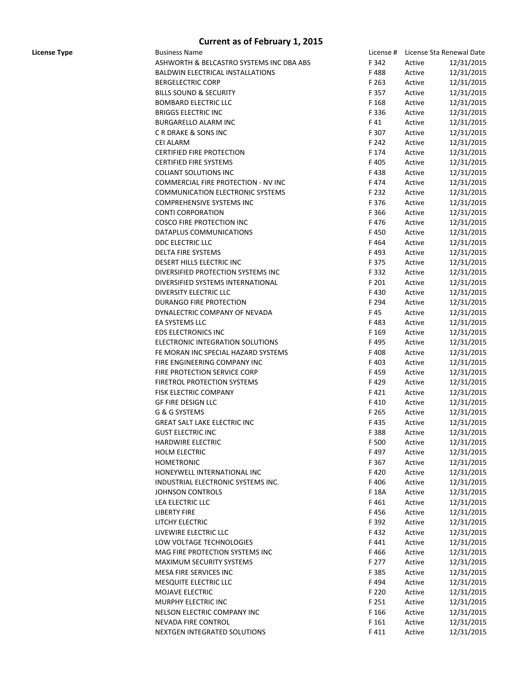| <b>License Type</b> | <b>Business Name</b>                     | License # |        | License Sta Renewal Date |
|---------------------|------------------------------------------|-----------|--------|--------------------------|
|                     | ASHWORTH & BELCASTRO SYSTEMS INC DBA ABS | F 342     | Active | 12/31/2015               |
|                     | <b>BALDWIN ELECTRICAL INSTALLATIONS</b>  | F488      | Active | 12/31/2015               |
|                     | <b>BERGELECTRIC CORP</b>                 | F 263     | Active | 12/31/2015               |
|                     | <b>BILLS SOUND &amp; SECURITY</b>        | F 357     | Active | 12/31/2015               |
|                     | <b>BOMBARD ELECTRIC LLC</b>              | F 168     | Active | 12/31/2015               |
|                     | <b>BRIGGS ELECTRIC INC</b>               | F 336     | Active | 12/31/2015               |
|                     | <b>BURGARELLO ALARM INC</b>              | F 41      | Active | 12/31/2015               |
|                     | C R DRAKE & SONS INC                     | F 307     | Active | 12/31/2015               |
|                     | CEI ALARM                                | F 242     | Active | 12/31/2015               |
|                     | <b>CERTIFIED FIRE PROTECTION</b>         | F 174     | Active | 12/31/2015               |
|                     | <b>CERTIFIED FIRE SYSTEMS</b>            | F405      | Active | 12/31/2015               |
|                     | <b>COLIANT SOLUTIONS INC</b>             | F438      | Active | 12/31/2015               |
|                     | COMMERCIAL FIRE PROTECTION - NV INC      | F474      | Active | 12/31/2015               |
|                     | <b>COMMUNICATION ELECTRONIC SYSTEMS</b>  | F 232     | Active | 12/31/2015               |
|                     |                                          | F376      |        |                          |
|                     | <b>COMPREHENSIVE SYSTEMS INC</b>         |           | Active | 12/31/2015               |
|                     | <b>CONTI CORPORATION</b>                 | F 366     | Active | 12/31/2015               |
|                     | <b>COSCO FIRE PROTECTION INC</b>         | F476      | Active | 12/31/2015               |
|                     | DATAPLUS COMMUNICATIONS                  | F450      | Active | 12/31/2015               |
|                     | DDC ELECTRIC LLC                         | F464      | Active | 12/31/2015               |
|                     | DELTA FIRE SYSTEMS                       | F493      | Active | 12/31/2015               |
|                     | DESERT HILLS ELECTRIC INC                | F 375     | Active | 12/31/2015               |
|                     | DIVERSIFIED PROTECTION SYSTEMS INC       | F332      | Active | 12/31/2015               |
|                     | DIVERSIFIED SYSTEMS INTERNATIONAL        | F 201     | Active | 12/31/2015               |
|                     | DIVERSITY ELECTRIC LLC                   | F430      | Active | 12/31/2015               |
|                     | <b>DURANGO FIRE PROTECTION</b>           | F 294     | Active | 12/31/2015               |
|                     | DYNALECTRIC COMPANY OF NEVADA            | F 45      | Active | 12/31/2015               |
|                     | EA SYSTEMS LLC                           | F483      | Active | 12/31/2015               |
|                     | <b>EDS ELECTRONICS INC</b>               | F 169     | Active | 12/31/2015               |
|                     | ELECTRONIC INTEGRATION SOLUTIONS         | F495      | Active | 12/31/2015               |
|                     | FE MORAN INC SPECIAL HAZARD SYSTEMS      | F408      | Active | 12/31/2015               |
|                     | FIRE ENGINEERING COMPANY INC             | F403      | Active | 12/31/2015               |
|                     | FIRE PROTECTION SERVICE CORP             | F459      | Active | 12/31/2015               |
|                     | FIRETROL PROTECTION SYSTEMS              | F429      | Active | 12/31/2015               |
|                     | <b>FISK ELECTRIC COMPANY</b>             | F421      | Active | 12/31/2015               |
|                     | <b>GF FIRE DESIGN LLC</b>                | F410      | Active | 12/31/2015               |
|                     | G & G SYSTEMS                            | F 265     | Active | 12/31/2015               |
|                     | <b>GREAT SALT LAKE ELECTRIC INC</b>      | F435      | Active | 12/31/2015               |
|                     | <b>GUST ELECTRIC INC</b>                 | F 388     | Active | 12/31/2015               |
|                     | <b>HARDWIRE ELECTRIC</b>                 | F 500     | Active | 12/31/2015               |
|                     | <b>HOLM ELECTRIC</b>                     | F497      | Active | 12/31/2015               |
|                     | <b>HOMETRONIC</b>                        | F 367     | Active | 12/31/2015               |
|                     | HONEYWELL INTERNATIONAL INC              | F420      | Active | 12/31/2015               |
|                     | INDUSTRIAL ELECTRONIC SYSTEMS INC.       | F406      | Active | 12/31/2015               |
|                     |                                          |           |        |                          |
|                     | JOHNSON CONTROLS                         | F 18A     | Active | 12/31/2015               |
|                     | LEA ELECTRIC LLC                         | F461      | Active | 12/31/2015               |
|                     | LIBERTY FIRE                             | F456      | Active | 12/31/2015               |
|                     | LITCHY ELECTRIC                          | F 392     | Active | 12/31/2015               |
|                     | LIVEWIRE ELECTRIC LLC                    | F432      | Active | 12/31/2015               |
|                     | LOW VOLTAGE TECHNOLOGIES                 | F441      | Active | 12/31/2015               |
|                     | MAG FIRE PROTECTION SYSTEMS INC          | F466      | Active | 12/31/2015               |
|                     | <b>MAXIMUM SECURITY SYSTEMS</b>          | F 277     | Active | 12/31/2015               |
|                     | MESA FIRE SERVICES INC                   | F385      | Active | 12/31/2015               |
|                     | MESQUITE ELECTRIC LLC                    | F494      | Active | 12/31/2015               |
|                     | <b>MOJAVE ELECTRIC</b>                   | F 220     | Active | 12/31/2015               |
|                     | MURPHY ELECTRIC INC                      | F 251     | Active | 12/31/2015               |
|                     | NELSON ELECTRIC COMPANY INC              | F 166     | Active | 12/31/2015               |
|                     | <b>NEVADA FIRE CONTROL</b>               | F 161     | Active | 12/31/2015               |
|                     | NEXTGEN INTEGRATED SOLUTIONS             | F411      | Active | 12/31/2015               |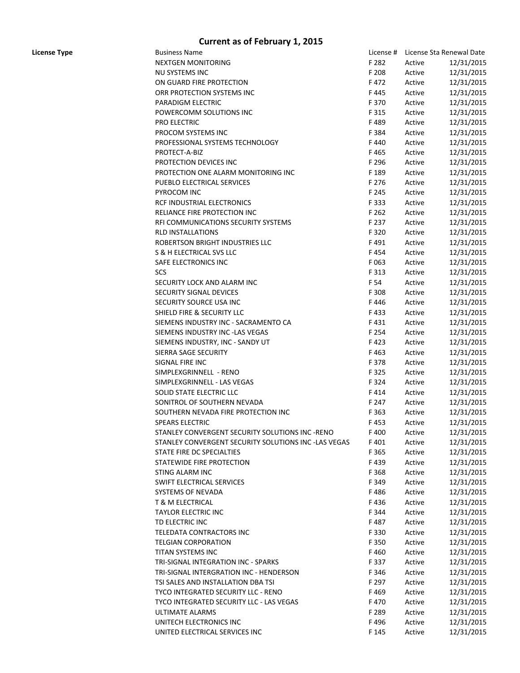| License Type | <b>Business Name</b>                                 |       | License # License Sta Renewal Date |            |
|--------------|------------------------------------------------------|-------|------------------------------------|------------|
|              | <b>NEXTGEN MONITORING</b>                            | F 282 | Active                             | 12/31/2015 |
|              | <b>NU SYSTEMS INC</b>                                | F 208 | Active                             | 12/31/2015 |
|              | ON GUARD FIRE PROTECTION                             | F472  | Active                             | 12/31/2015 |
|              | ORR PROTECTION SYSTEMS INC                           | F445  | Active                             | 12/31/2015 |
|              | PARADIGM ELECTRIC                                    | F 370 | Active                             | 12/31/2015 |
|              | POWERCOMM SOLUTIONS INC                              | F 315 | Active                             | 12/31/2015 |
|              | PRO ELECTRIC                                         | F489  | Active                             | 12/31/2015 |
|              | PROCOM SYSTEMS INC                                   | F 384 | Active                             | 12/31/2015 |
|              | PROFESSIONAL SYSTEMS TECHNOLOGY                      | F440  | Active                             | 12/31/2015 |
|              | PROTECT-A-BIZ                                        | F465  |                                    | 12/31/2015 |
|              | PROTECTION DEVICES INC                               |       | Active                             |            |
|              |                                                      | F 296 | Active                             | 12/31/2015 |
|              | PROTECTION ONE ALARM MONITORING INC                  | F 189 | Active                             | 12/31/2015 |
|              | PUEBLO ELECTRICAL SERVICES                           | F 276 | Active                             | 12/31/2015 |
|              | PYROCOM INC                                          | F 245 | Active                             | 12/31/2015 |
|              | RCF INDUSTRIAL ELECTRONICS                           | F 333 | Active                             | 12/31/2015 |
|              | RELIANCE FIRE PROTECTION INC                         | F 262 | Active                             | 12/31/2015 |
|              | RFI COMMUNICATIONS SECURITY SYSTEMS                  | F 237 | Active                             | 12/31/2015 |
|              | <b>RLD INSTALLATIONS</b>                             | F 320 | Active                             | 12/31/2015 |
|              | ROBERTSON BRIGHT INDUSTRIES LLC                      | F491  | Active                             | 12/31/2015 |
|              | S & H ELECTRICAL SVS LLC                             | F454  | Active                             | 12/31/2015 |
|              | SAFE ELECTRONICS INC                                 | F063  | Active                             | 12/31/2015 |
|              | SCS                                                  | F 313 | Active                             | 12/31/2015 |
|              | SECURITY LOCK AND ALARM INC                          | F 54  | Active                             | 12/31/2015 |
|              | SECURITY SIGNAL DEVICES                              | F 308 | Active                             | 12/31/2015 |
|              | SECURITY SOURCE USA INC                              | F446  | Active                             | 12/31/2015 |
|              | SHIELD FIRE & SECURITY LLC                           | F433  | Active                             | 12/31/2015 |
|              | SIEMENS INDUSTRY INC - SACRAMENTO CA                 | F431  | Active                             | 12/31/2015 |
|              | SIEMENS INDUSTRY INC -LAS VEGAS                      | F 254 | Active                             | 12/31/2015 |
|              | SIEMENS INDUSTRY, INC - SANDY UT                     | F423  | Active                             | 12/31/2015 |
|              | SIERRA SAGE SECURITY                                 | F463  | Active                             | 12/31/2015 |
|              | SIGNAL FIRE INC                                      | F 378 | Active                             | 12/31/2015 |
|              | SIMPLEXGRINNELL - RENO                               | F 325 | Active                             | 12/31/2015 |
|              | SIMPLEXGRINNELL - LAS VEGAS                          | F 324 | Active                             | 12/31/2015 |
|              | SOLID STATE ELECTRIC LLC                             | F414  | Active                             | 12/31/2015 |
|              | SONITROL OF SOUTHERN NEVADA                          | F 247 | Active                             | 12/31/2015 |
|              | SOUTHERN NEVADA FIRE PROTECTION INC                  | F 363 | Active                             | 12/31/2015 |
|              | <b>SPEARS ELECTRIC</b>                               | F453  | Active                             | 12/31/2015 |
|              | STANLEY CONVERGENT SECURITY SOLUTIONS INC-RENO       | F400  | Active                             | 12/31/2015 |
|              | STANLEY CONVERGENT SECURITY SOLUTIONS INC -LAS VEGAS | F401  | Active                             | 12/31/2015 |
|              | STATE FIRE DC SPECIALTIES                            | F 365 | Active                             | 12/31/2015 |
|              | STATEWIDE FIRE PROTECTION                            |       |                                    |            |
|              |                                                      | F439  | Active                             | 12/31/2015 |
|              | <b>STING ALARM INC</b>                               | F 368 | Active                             | 12/31/2015 |
|              | SWIFT ELECTRICAL SERVICES                            | F 349 | Active                             | 12/31/2015 |
|              | SYSTEMS OF NEVADA                                    | F486  | Active                             | 12/31/2015 |
|              | T & M ELECTRICAL                                     | F436  | Active                             | 12/31/2015 |
|              | <b>TAYLOR ELECTRIC INC</b>                           | F 344 | Active                             | 12/31/2015 |
|              | TD ELECTRIC INC                                      | F487  | Active                             | 12/31/2015 |
|              | TELEDATA CONTRACTORS INC                             | F330  | Active                             | 12/31/2015 |
|              | <b>TELGIAN CORPORATION</b>                           | F 350 | Active                             | 12/31/2015 |
|              | TITAN SYSTEMS INC                                    | F460  | Active                             | 12/31/2015 |
|              | TRI-SIGNAL INTEGRATION INC - SPARKS                  | F337  | Active                             | 12/31/2015 |
|              | TRI-SIGNAL INTERGRATION INC - HENDERSON              | F 346 | Active                             | 12/31/2015 |
|              | TSI SALES AND INSTALLATION DBA TSI                   | F 297 | Active                             | 12/31/2015 |
|              | TYCO INTEGRATED SECURITY LLC - RENO                  | F469  | Active                             | 12/31/2015 |
|              | TYCO INTEGRATED SECURITY LLC - LAS VEGAS             | F470  | Active                             | 12/31/2015 |
|              | ULTIMATE ALARMS                                      | F 289 | Active                             | 12/31/2015 |
|              | UNITECH ELECTRONICS INC                              | F496  | Active                             | 12/31/2015 |
|              | UNITED ELECTRICAL SERVICES INC                       | F 145 | Active                             | 12/31/2015 |
|              |                                                      |       |                                    |            |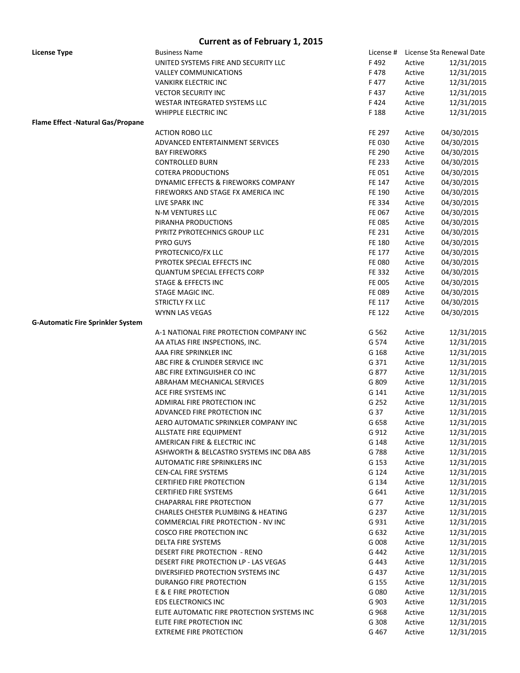| <b>License Type</b>                      | <b>Business Name</b>                        |               |        | License # License Sta Renewal Date |
|------------------------------------------|---------------------------------------------|---------------|--------|------------------------------------|
|                                          | UNITED SYSTEMS FIRE AND SECURITY LLC        | F492          | Active | 12/31/2015                         |
|                                          | <b>VALLEY COMMUNICATIONS</b>                | F478          | Active | 12/31/2015                         |
|                                          | <b>VANKIRK ELECTRIC INC</b>                 | F477          | Active | 12/31/2015                         |
|                                          | <b>VECTOR SECURITY INC</b>                  | F437          | Active | 12/31/2015                         |
|                                          | WESTAR INTEGRATED SYSTEMS LLC               | F424          | Active | 12/31/2015                         |
|                                          | WHIPPLE ELECTRIC INC                        | F 188         | Active | 12/31/2015                         |
| <b>Flame Effect -Natural Gas/Propane</b> |                                             |               |        |                                    |
|                                          | <b>ACTION ROBO LLC</b>                      | FE 297        | Active | 04/30/2015                         |
|                                          | ADVANCED ENTERTAINMENT SERVICES             | FE 030        | Active | 04/30/2015                         |
|                                          |                                             | <b>FE 290</b> |        |                                    |
|                                          | <b>BAY FIREWORKS</b>                        |               | Active | 04/30/2015                         |
|                                          | <b>CONTROLLED BURN</b>                      | FE 233        | Active | 04/30/2015                         |
|                                          | <b>COTERA PRODUCTIONS</b>                   | FE 051        | Active | 04/30/2015                         |
|                                          | DYNAMIC EFFECTS & FIREWORKS COMPANY         | FE 147        | Active | 04/30/2015                         |
|                                          | FIREWORKS AND STAGE FX AMERICA INC          | FE 190        | Active | 04/30/2015                         |
|                                          | LIVE SPARK INC                              | FE 334        | Active | 04/30/2015                         |
|                                          | N-M VENTURES LLC                            | FE 067        | Active | 04/30/2015                         |
|                                          | PIRANHA PRODUCTIONS                         | FE 085        | Active | 04/30/2015                         |
|                                          | PYRITZ PYROTECHNICS GROUP LLC               | FE 231        | Active | 04/30/2015                         |
|                                          | PYRO GUYS                                   | FE 180        | Active | 04/30/2015                         |
|                                          | PYROTECNICO/FX LLC                          | FE 177        | Active | 04/30/2015                         |
|                                          | PYROTEK SPECIAL EFFECTS INC                 | <b>FE 080</b> | Active | 04/30/2015                         |
|                                          | <b>QUANTUM SPECIAL EFFECTS CORP</b>         | FE 332        | Active | 04/30/2015                         |
|                                          | STAGE & EFFECTS INC                         | FE 005        | Active | 04/30/2015                         |
|                                          | STAGE MAGIC INC.                            | FE 089        | Active | 04/30/2015                         |
|                                          | STRICTLY FX LLC                             | FE 117        | Active | 04/30/2015                         |
|                                          | WYNN LAS VEGAS                              | FE 122        | Active | 04/30/2015                         |
|                                          |                                             |               |        |                                    |
| <b>G-Automatic Fire Sprinkler System</b> |                                             |               |        |                                    |
|                                          | A-1 NATIONAL FIRE PROTECTION COMPANY INC    | G 562         | Active | 12/31/2015                         |
|                                          | AA ATLAS FIRE INSPECTIONS, INC.             | G 574         | Active | 12/31/2015                         |
|                                          | AAA FIRE SPRINKLER INC                      | G 168         | Active | 12/31/2015                         |
|                                          | ABC FIRE & CYLINDER SERVICE INC             | G 371         | Active | 12/31/2015                         |
|                                          | ABC FIRE EXTINGUISHER CO INC                | G 877         | Active | 12/31/2015                         |
|                                          | ABRAHAM MECHANICAL SERVICES                 | G 809         | Active | 12/31/2015                         |
|                                          | ACE FIRE SYSTEMS INC                        | G 141         | Active | 12/31/2015                         |
|                                          | ADMIRAL FIRE PROTECTION INC                 | G 252         | Active | 12/31/2015                         |
|                                          | ADVANCED FIRE PROTECTION INC                | G 37          | Active | 12/31/2015                         |
|                                          | AERO AUTOMATIC SPRINKLER COMPANY INC        | G 658         | Active | 12/31/2015                         |
|                                          | ALLSTATE FIRE EQUIPMENT                     | G 912         | Active | 12/31/2015                         |
|                                          | AMERICAN FIRE & ELECTRIC INC                | G 148         | Active | 12/31/2015                         |
|                                          | ASHWORTH & BELCASTRO SYSTEMS INC DBA ABS    | G 788         | Active | 12/31/2015                         |
|                                          | AUTOMATIC FIRE SPRINKLERS INC               | G 153         | Active | 12/31/2015                         |
|                                          | CEN-CAL FIRE SYSTEMS                        | G 124         | Active | 12/31/2015                         |
|                                          | <b>CERTIFIED FIRE PROTECTION</b>            | G 134         | Active | 12/31/2015                         |
|                                          | <b>CERTIFIED FIRE SYSTEMS</b>               | G 641         | Active | 12/31/2015                         |
|                                          |                                             |               |        |                                    |
|                                          | <b>CHAPARRAL FIRE PROTECTION</b>            | G 77          | Active | 12/31/2015                         |
|                                          | CHARLES CHESTER PLUMBING & HEATING          | G 237         | Active | 12/31/2015                         |
|                                          | <b>COMMERCIAL FIRE PROTECTION - NV INC</b>  | G 931         | Active | 12/31/2015                         |
|                                          | <b>COSCO FIRE PROTECTION INC</b>            | G 632         | Active | 12/31/2015                         |
|                                          | <b>DELTA FIRE SYSTEMS</b>                   | G 008         | Active | 12/31/2015                         |
|                                          | DESERT FIRE PROTECTION - RENO               | G 442         | Active | 12/31/2015                         |
|                                          | DESERT FIRE PROTECTION LP - LAS VEGAS       | G 443         | Active | 12/31/2015                         |
|                                          | DIVERSIFIED PROTECTION SYSTEMS INC          | G 437         | Active | 12/31/2015                         |
|                                          | DURANGO FIRE PROTECTION                     | G 155         | Active | 12/31/2015                         |
|                                          | E & E FIRE PROTECTION                       | G 080         | Active | 12/31/2015                         |
|                                          | <b>EDS ELECTRONICS INC</b>                  | G 903         | Active | 12/31/2015                         |
|                                          | ELITE AUTOMATIC FIRE PROTECTION SYSTEMS INC | G 968         | Active | 12/31/2015                         |
|                                          | ELITE FIRE PROTECTION INC                   | G 308         | Active | 12/31/2015                         |
|                                          | <b>EXTREME FIRE PROTECTION</b>              | G 467         | Active | 12/31/2015                         |
|                                          |                                             |               |        |                                    |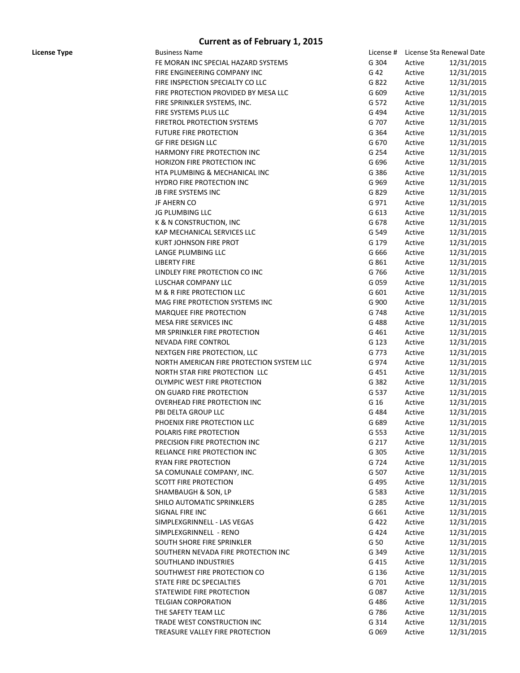| License Type | <b>Business Name</b>                      |       | License # License Sta Renewal Date |            |
|--------------|-------------------------------------------|-------|------------------------------------|------------|
|              | FE MORAN INC SPECIAL HAZARD SYSTEMS       | G 304 | Active                             | 12/31/2015 |
|              | FIRE ENGINEERING COMPANY INC              | G 42  | Active                             | 12/31/2015 |
|              | FIRE INSPECTION SPECIALTY CO LLC          | G 822 | Active                             | 12/31/2015 |
|              | FIRE PROTECTION PROVIDED BY MESA LLC      | G 609 | Active                             | 12/31/2015 |
|              | FIRE SPRINKLER SYSTEMS, INC.              | G 572 | Active                             | 12/31/2015 |
|              | FIRE SYSTEMS PLUS LLC                     | G 494 | Active                             | 12/31/2015 |
|              | FIRETROL PROTECTION SYSTEMS               | G 707 | Active                             | 12/31/2015 |
|              | <b>FUTURE FIRE PROTECTION</b>             | G 364 | Active                             | 12/31/2015 |
|              | <b>GF FIRE DESIGN LLC</b>                 | G 670 | Active                             | 12/31/2015 |
|              | HARMONY FIRE PROTECTION INC               |       |                                    |            |
|              |                                           | G 254 | Active                             | 12/31/2015 |
|              | HORIZON FIRE PROTECTION INC               | G 696 | Active                             | 12/31/2015 |
|              | HTA PLUMBING & MECHANICAL INC             | G 386 | Active                             | 12/31/2015 |
|              | HYDRO FIRE PROTECTION INC                 | G 969 | Active                             | 12/31/2015 |
|              | JB FIRE SYSTEMS INC                       | G 829 | Active                             | 12/31/2015 |
|              | JF AHERN CO                               | G 971 | Active                             | 12/31/2015 |
|              | JG PLUMBING LLC                           | G 613 | Active                             | 12/31/2015 |
|              | K & N CONSTRUCTION, INC                   | G 678 | Active                             | 12/31/2015 |
|              | KAP MECHANICAL SERVICES LLC               | G 549 | Active                             | 12/31/2015 |
|              | KURT JOHNSON FIRE PROT                    | G 179 | Active                             | 12/31/2015 |
|              | LANGE PLUMBING LLC                        | G 666 | Active                             | 12/31/2015 |
|              | <b>LIBERTY FIRE</b>                       | G 861 | Active                             | 12/31/2015 |
|              | LINDLEY FIRE PROTECTION CO INC            | G 766 | Active                             | 12/31/2015 |
|              | LUSCHAR COMPANY LLC                       | G 059 | Active                             | 12/31/2015 |
|              | M & R FIRE PROTECTION LLC                 | G 601 | Active                             | 12/31/2015 |
|              | MAG FIRE PROTECTION SYSTEMS INC           | G 900 | Active                             | 12/31/2015 |
|              | MARQUEE FIRE PROTECTION                   | G 748 | Active                             | 12/31/2015 |
|              | MESA FIRE SERVICES INC                    | G 488 | Active                             | 12/31/2015 |
|              | MR SPRINKLER FIRE PROTECTION              | G 461 | Active                             | 12/31/2015 |
|              |                                           |       |                                    |            |
|              | NEVADA FIRE CONTROL                       | G 123 | Active                             | 12/31/2015 |
|              | NEXTGEN FIRE PROTECTION, LLC              | G 773 | Active                             | 12/31/2015 |
|              | NORTH AMERICAN FIRE PROTECTION SYSTEM LLC | G 974 | Active                             | 12/31/2015 |
|              | NORTH STAR FIRE PROTECTION LLC            | G 451 | Active                             | 12/31/2015 |
|              | OLYMPIC WEST FIRE PROTECTION              | G 382 | Active                             | 12/31/2015 |
|              | ON GUARD FIRE PROTECTION                  | G 537 | Active                             | 12/31/2015 |
|              | OVERHEAD FIRE PROTECTION INC              | G 16  | Active                             | 12/31/2015 |
|              | PBI DELTA GROUP LLC                       | G 484 | Active                             | 12/31/2015 |
|              | PHOENIX FIRE PROTECTION LLC               | G 689 | Active                             | 12/31/2015 |
|              | POLARIS FIRE PROTECTION                   | G 553 | Active                             | 12/31/2015 |
|              | PRECISION FIRE PROTECTION INC             | G 217 | Active                             | 12/31/2015 |
|              | RELIANCE FIRE PROTECTION INC              | G 305 | Active                             | 12/31/2015 |
|              | RYAN FIRE PROTECTION                      | G 724 | Active                             | 12/31/2015 |
|              | SA COMUNALE COMPANY, INC.                 | G 507 | Active                             | 12/31/2015 |
|              | <b>SCOTT FIRE PROTECTION</b>              | G 495 | Active                             | 12/31/2015 |
|              | SHAMBAUGH & SON, LP                       | G 583 | Active                             | 12/31/2015 |
|              | SHILO AUTOMATIC SPRINKLERS                | G 285 | Active                             | 12/31/2015 |
|              | SIGNAL FIRE INC                           | G 661 | Active                             | 12/31/2015 |
|              | SIMPLEXGRINNELL - LAS VEGAS               | G 422 | Active                             | 12/31/2015 |
|              | SIMPLEXGRINNELL - RENO                    | G 424 | Active                             | 12/31/2015 |
|              | SOUTH SHORE FIRE SPRINKLER                | G 50  | Active                             | 12/31/2015 |
|              | SOUTHERN NEVADA FIRE PROTECTION INC       | G 349 | Active                             | 12/31/2015 |
|              | SOUTHLAND INDUSTRIES                      | G 415 | Active                             | 12/31/2015 |
|              | SOUTHWEST FIRE PROTECTION CO              | G 136 | Active                             | 12/31/2015 |
|              |                                           |       |                                    |            |
|              | STATE FIRE DC SPECIALTIES                 | G 701 | Active                             | 12/31/2015 |
|              | STATEWIDE FIRE PROTECTION                 | G 087 | Active                             | 12/31/2015 |
|              | <b>TELGIAN CORPORATION</b>                | G 486 | Active                             | 12/31/2015 |
|              | THE SAFETY TEAM LLC                       | G 786 | Active                             | 12/31/2015 |
|              | TRADE WEST CONSTRUCTION INC               | G 314 | Active                             | 12/31/2015 |
|              | TREASURE VALLEY FIRE PROTECTION           | G 069 | Active                             | 12/31/2015 |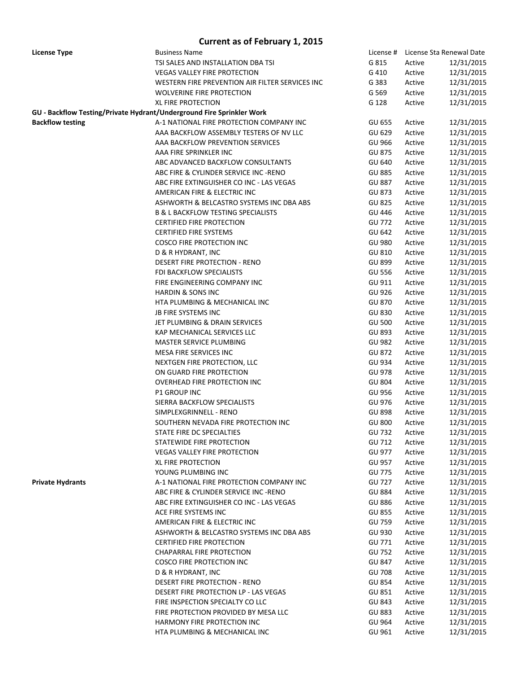| <b>License Type</b>     | <b>Business Name</b>                                                  | License #     |        | License Sta Renewal Date |
|-------------------------|-----------------------------------------------------------------------|---------------|--------|--------------------------|
|                         | TSI SALES AND INSTALLATION DBA TSI                                    | G 815         | Active | 12/31/2015               |
|                         | <b>VEGAS VALLEY FIRE PROTECTION</b>                                   | G 410         | Active | 12/31/2015               |
|                         | WESTERN FIRE PREVENTION AIR FILTER SERVICES INC                       | G 383         | Active | 12/31/2015               |
|                         | <b>WOLVERINE FIRE PROTECTION</b>                                      | G 569         | Active | 12/31/2015               |
|                         | <b>XL FIRE PROTECTION</b>                                             | G 128         | Active | 12/31/2015               |
|                         | GU - Backflow Testing/Private Hydrant/Underground Fire Sprinkler Work |               |        |                          |
| <b>Backflow testing</b> | A-1 NATIONAL FIRE PROTECTION COMPANY INC                              | <b>GU 655</b> | Active | 12/31/2015               |
|                         | AAA BACKFLOW ASSEMBLY TESTERS OF NV LLC                               | <b>GU 629</b> | Active | 12/31/2015               |
|                         | AAA BACKFLOW PREVENTION SERVICES                                      | <b>GU 966</b> | Active | 12/31/2015               |
|                         | AAA FIRE SPRINKLER INC                                                | <b>GU 875</b> | Active | 12/31/2015               |
|                         | ABC ADVANCED BACKFLOW CONSULTANTS                                     | <b>GU 640</b> | Active | 12/31/2015               |
|                         | ABC FIRE & CYLINDER SERVICE INC -RENO                                 | <b>GU 885</b> | Active | 12/31/2015               |
|                         | ABC FIRE EXTINGUISHER CO INC - LAS VEGAS                              | <b>GU 887</b> | Active | 12/31/2015               |
|                         | AMERICAN FIRE & ELECTRIC INC                                          | <b>GU 873</b> | Active | 12/31/2015               |
|                         | ASHWORTH & BELCASTRO SYSTEMS INC DBA ABS                              | <b>GU 825</b> | Active | 12/31/2015               |
|                         | <b>B &amp; L BACKFLOW TESTING SPECIALISTS</b>                         | <b>GU 446</b> | Active | 12/31/2015               |
|                         | <b>CERTIFIED FIRE PROTECTION</b>                                      | <b>GU 772</b> | Active | 12/31/2015               |
|                         | <b>CERTIFIED FIRE SYSTEMS</b>                                         | GU 642        | Active | 12/31/2015               |
|                         | <b>COSCO FIRE PROTECTION INC</b>                                      | <b>GU 980</b> | Active | 12/31/2015               |
|                         |                                                                       |               |        | 12/31/2015               |
|                         | D & R HYDRANT, INC                                                    | <b>GU 810</b> | Active |                          |
|                         | DESERT FIRE PROTECTION - RENO                                         | <b>GU 899</b> | Active | 12/31/2015               |
|                         | FDI BACKFLOW SPECIALISTS                                              | <b>GU 556</b> | Active | 12/31/2015               |
|                         | FIRE ENGINEERING COMPANY INC                                          | GU 911        | Active | 12/31/2015               |
|                         | <b>HARDIN &amp; SONS INC</b>                                          | <b>GU 926</b> | Active | 12/31/2015               |
|                         | HTA PLUMBING & MECHANICAL INC                                         | <b>GU 870</b> | Active | 12/31/2015               |
|                         | JB FIRE SYSTEMS INC                                                   | <b>GU 830</b> | Active | 12/31/2015               |
|                         | JET PLUMBING & DRAIN SERVICES                                         | <b>GU 500</b> | Active | 12/31/2015               |
|                         | KAP MECHANICAL SERVICES LLC                                           | <b>GU 893</b> | Active | 12/31/2015               |
|                         | MASTER SERVICE PLUMBING                                               | <b>GU 982</b> | Active | 12/31/2015               |
|                         | MESA FIRE SERVICES INC                                                | <b>GU 872</b> | Active | 12/31/2015               |
|                         | NEXTGEN FIRE PROTECTION, LLC                                          | <b>GU 934</b> | Active | 12/31/2015               |
|                         | ON GUARD FIRE PROTECTION                                              | <b>GU 978</b> | Active | 12/31/2015               |
|                         | OVERHEAD FIRE PROTECTION INC                                          | <b>GU 804</b> | Active | 12/31/2015               |
|                         | P1 GROUP INC                                                          | <b>GU 956</b> | Active | 12/31/2015               |
|                         | SIERRA BACKFLOW SPECIALISTS                                           | <b>GU 976</b> | Active | 12/31/2015               |
|                         | SIMPLEXGRINNELL - RENO                                                | <b>GU 898</b> | Active | 12/31/2015               |
|                         | SOUTHERN NEVADA FIRE PROTECTION INC                                   | <b>GU 800</b> | Active | 12/31/2015               |
|                         | STATE FIRE DC SPECIALTIES                                             | <b>GU 732</b> | Active | 12/31/2015               |
|                         | STATEWIDE FIRE PROTECTION                                             | <b>GU 712</b> | Active | 12/31/2015               |
|                         | <b>VEGAS VALLEY FIRE PROTECTION</b>                                   | <b>GU 977</b> | Active | 12/31/2015               |
|                         | <b>XL FIRE PROTECTION</b>                                             | <b>GU 957</b> | Active | 12/31/2015               |
|                         | YOUNG PLUMBING INC                                                    | <b>GU 775</b> | Active | 12/31/2015               |
| <b>Private Hydrants</b> | A-1 NATIONAL FIRE PROTECTION COMPANY INC                              | <b>GU 727</b> | Active | 12/31/2015               |
|                         | ABC FIRE & CYLINDER SERVICE INC -RENO                                 | <b>GU 884</b> | Active | 12/31/2015               |
|                         | ABC FIRE EXTINGUISHER CO INC - LAS VEGAS                              | <b>GU 886</b> | Active | 12/31/2015               |
|                         | ACE FIRE SYSTEMS INC                                                  | <b>GU 855</b> | Active | 12/31/2015               |
|                         | AMERICAN FIRE & ELECTRIC INC                                          | GU 759        | Active | 12/31/2015               |
|                         | ASHWORTH & BELCASTRO SYSTEMS INC DBA ABS                              | <b>GU 930</b> | Active | 12/31/2015               |
|                         | <b>CERTIFIED FIRE PROTECTION</b>                                      | <b>GU 771</b> | Active | 12/31/2015               |
|                         | <b>CHAPARRAL FIRE PROTECTION</b>                                      | <b>GU 752</b> | Active | 12/31/2015               |
|                         | <b>COSCO FIRE PROTECTION INC</b>                                      | <b>GU 847</b> | Active | 12/31/2015               |
|                         | D & R HYDRANT, INC                                                    | <b>GU 708</b> | Active | 12/31/2015               |
|                         | DESERT FIRE PROTECTION - RENO                                         | <b>GU 854</b> | Active | 12/31/2015               |
|                         | DESERT FIRE PROTECTION LP - LAS VEGAS                                 | <b>GU 851</b> | Active | 12/31/2015               |
|                         | FIRE INSPECTION SPECIALTY CO LLC                                      | <b>GU 843</b> | Active | 12/31/2015               |
|                         | FIRE PROTECTION PROVIDED BY MESA LLC                                  | <b>GU 883</b> | Active | 12/31/2015               |
|                         | HARMONY FIRE PROTECTION INC                                           | <b>GU 964</b> | Active | 12/31/2015               |
|                         | HTA PLUMBING & MECHANICAL INC                                         | GU 961        | Active | 12/31/2015               |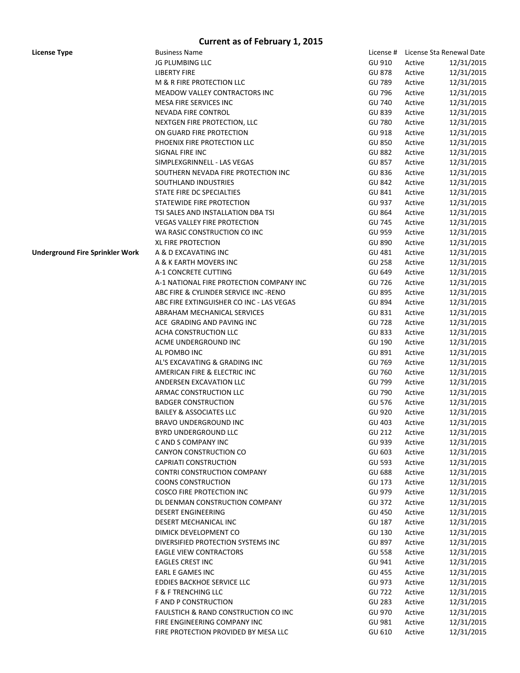| <b>License Type</b>                    | <b>Business Name</b>                     |               |        | License # License Sta Renewal Date |
|----------------------------------------|------------------------------------------|---------------|--------|------------------------------------|
|                                        | <b>JG PLUMBING LLC</b>                   | GU 910        | Active | 12/31/2015                         |
|                                        | <b>LIBERTY FIRE</b>                      | <b>GU 878</b> | Active | 12/31/2015                         |
|                                        | M & R FIRE PROTECTION LLC                | GU 789        | Active | 12/31/2015                         |
|                                        | MEADOW VALLEY CONTRACTORS INC            | GU 796        | Active | 12/31/2015                         |
|                                        | MESA FIRE SERVICES INC                   | <b>GU 740</b> | Active | 12/31/2015                         |
|                                        | NEVADA FIRE CONTROL                      | <b>GU 839</b> | Active | 12/31/2015                         |
|                                        | NEXTGEN FIRE PROTECTION, LLC             | <b>GU 780</b> | Active | 12/31/2015                         |
|                                        | ON GUARD FIRE PROTECTION                 | GU 918        | Active | 12/31/2015                         |
|                                        | PHOENIX FIRE PROTECTION LLC              | <b>GU 850</b> | Active | 12/31/2015                         |
|                                        | SIGNAL FIRE INC                          | <b>GU 882</b> | Active | 12/31/2015                         |
|                                        | SIMPLEXGRINNELL - LAS VEGAS              | <b>GU 857</b> | Active | 12/31/2015                         |
|                                        | SOUTHERN NEVADA FIRE PROTECTION INC      | <b>GU 836</b> | Active | 12/31/2015                         |
|                                        |                                          |               |        |                                    |
|                                        | SOUTHLAND INDUSTRIES                     | <b>GU 842</b> | Active | 12/31/2015                         |
|                                        | STATE FIRE DC SPECIALTIES                | <b>GU 841</b> | Active | 12/31/2015                         |
|                                        | STATEWIDE FIRE PROTECTION                | <b>GU 937</b> | Active | 12/31/2015                         |
|                                        | TSI SALES AND INSTALLATION DBA TSI       | <b>GU 864</b> | Active | 12/31/2015                         |
|                                        | <b>VEGAS VALLEY FIRE PROTECTION</b>      | <b>GU 745</b> | Active | 12/31/2015                         |
|                                        | WA RASIC CONSTRUCTION CO INC             | <b>GU 959</b> | Active | 12/31/2015                         |
|                                        | <b>XL FIRE PROTECTION</b>                | <b>GU 890</b> | Active | 12/31/2015                         |
| <b>Underground Fire Sprinkler Work</b> | A & D EXCAVATING INC                     | GU 481        | Active | 12/31/2015                         |
|                                        | A & K EARTH MOVERS INC                   | <b>GU 258</b> | Active | 12/31/2015                         |
|                                        | A-1 CONCRETE CUTTING                     | GU 649        | Active | 12/31/2015                         |
|                                        | A-1 NATIONAL FIRE PROTECTION COMPANY INC | <b>GU 726</b> | Active | 12/31/2015                         |
|                                        | ABC FIRE & CYLINDER SERVICE INC -RENO    | <b>GU 895</b> | Active | 12/31/2015                         |
|                                        | ABC FIRE EXTINGUISHER CO INC - LAS VEGAS | <b>GU 894</b> | Active | 12/31/2015                         |
|                                        | ABRAHAM MECHANICAL SERVICES              | <b>GU 831</b> | Active | 12/31/2015                         |
|                                        | ACE GRADING AND PAVING INC               | <b>GU 728</b> | Active | 12/31/2015                         |
|                                        | ACHA CONSTRUCTION LLC                    | GU 833        | Active | 12/31/2015                         |
|                                        | ACME UNDERGROUND INC                     | GU 190        | Active | 12/31/2015                         |
|                                        | AL POMBO INC                             | GU 891        | Active | 12/31/2015                         |
|                                        | AL'S EXCAVATING & GRADING INC            | GU 769        | Active | 12/31/2015                         |
|                                        | AMERICAN FIRE & ELECTRIC INC             | <b>GU 760</b> | Active | 12/31/2015                         |
|                                        | ANDERSEN EXCAVATION LLC                  | GU 799        | Active | 12/31/2015                         |
|                                        | ARMAC CONSTRUCTION LLC                   | <b>GU 790</b> | Active | 12/31/2015                         |
|                                        | <b>BADGER CONSTRUCTION</b>               | <b>GU 576</b> | Active | 12/31/2015                         |
|                                        | <b>BAILEY &amp; ASSOCIATES LLC</b>       | <b>GU 920</b> | Active | 12/31/2015                         |
|                                        | <b>BRAVO UNDERGROUND INC</b>             | <b>GU 403</b> | Active | 12/31/2015                         |
|                                        |                                          |               |        |                                    |
|                                        | BYRD UNDERGROUND LLC                     | GU 212        | Active | 12/31/2015                         |
|                                        | C AND S COMPANY INC                      | <b>GU 939</b> | Active | 12/31/2015                         |
|                                        | CANYON CONSTRUCTION CO                   | <b>GU 603</b> | Active | 12/31/2015                         |
|                                        | <b>CAPRIATI CONSTRUCTION</b>             | <b>GU 593</b> | Active | 12/31/2015                         |
|                                        | CONTRI CONSTRUCTION COMPANY              | <b>GU 688</b> | Active | 12/31/2015                         |
|                                        | <b>COONS CONSTRUCTION</b>                | GU 173        | Active | 12/31/2015                         |
|                                        | <b>COSCO FIRE PROTECTION INC</b>         | GU 979        | Active | 12/31/2015                         |
|                                        | DL DENMAN CONSTRUCTION COMPANY           | <b>GU 372</b> | Active | 12/31/2015                         |
|                                        | <b>DESERT ENGINEERING</b>                | <b>GU 450</b> | Active | 12/31/2015                         |
|                                        | DESERT MECHANICAL INC                    | <b>GU 187</b> | Active | 12/31/2015                         |
|                                        | DIMICK DEVELOPMENT CO                    | <b>GU 130</b> | Active | 12/31/2015                         |
|                                        | DIVERSIFIED PROTECTION SYSTEMS INC       | <b>GU 897</b> | Active | 12/31/2015                         |
|                                        | <b>EAGLE VIEW CONTRACTORS</b>            | <b>GU 558</b> | Active | 12/31/2015                         |
|                                        | EAGLES CREST INC                         | GU 941        | Active | 12/31/2015                         |
|                                        | EARL E GAMES INC                         | <b>GU 455</b> | Active | 12/31/2015                         |
|                                        | EDDIES BACKHOE SERVICE LLC               | GU 973        | Active | 12/31/2015                         |
|                                        | <b>F &amp; F TRENCHING LLC</b>           | <b>GU 722</b> | Active | 12/31/2015                         |
|                                        | F AND P CONSTRUCTION                     | <b>GU 283</b> | Active | 12/31/2015                         |
|                                        | FAULSTICH & RAND CONSTRUCTION CO INC     | <b>GU 970</b> | Active | 12/31/2015                         |
|                                        | FIRE ENGINEERING COMPANY INC             | <b>GU 981</b> | Active | 12/31/2015                         |
|                                        | FIRE PROTECTION PROVIDED BY MESA LLC     | GU 610        | Active | 12/31/2015                         |
|                                        |                                          |               |        |                                    |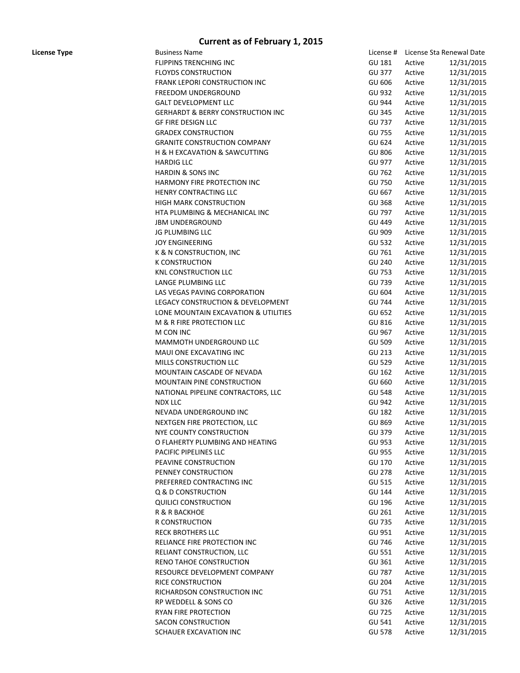| <b>License Type</b> | <b>Business Name</b>                         | License #     |        | License Sta Renewal Date |
|---------------------|----------------------------------------------|---------------|--------|--------------------------|
|                     | FLIPPINS TRENCHING INC                       | GU 181        | Active | 12/31/2015               |
|                     | <b>FLOYDS CONSTRUCTION</b>                   | <b>GU 377</b> | Active | 12/31/2015               |
|                     | <b>FRANK LEPORI CONSTRUCTION INC</b>         | GU 606        | Active | 12/31/2015               |
|                     | FREEDOM UNDERGROUND                          | <b>GU 932</b> | Active | 12/31/2015               |
|                     | <b>GALT DEVELOPMENT LLC</b>                  | GU 944        | Active | 12/31/2015               |
|                     | <b>GERHARDT &amp; BERRY CONSTRUCTION INC</b> | <b>GU 345</b> | Active | 12/31/2015               |
|                     | <b>GF FIRE DESIGN LLC</b>                    | <b>GU 737</b> | Active | 12/31/2015               |
|                     | <b>GRADEX CONSTRUCTION</b>                   | <b>GU 755</b> | Active | 12/31/2015               |
|                     | <b>GRANITE CONSTRUCTION COMPANY</b>          | <b>GU 624</b> | Active | 12/31/2015               |
|                     | H & H EXCAVATION & SAWCUTTING                | <b>GU 806</b> | Active | 12/31/2015               |
|                     | <b>HARDIG LLC</b>                            | GU 977        | Active | 12/31/2015               |
|                     | <b>HARDIN &amp; SONS INC</b>                 | <b>GU 762</b> | Active | 12/31/2015               |
|                     | HARMONY FIRE PROTECTION INC                  | <b>GU 750</b> | Active | 12/31/2015               |
|                     | HENRY CONTRACTING LLC                        | GU 667        | Active | 12/31/2015               |
|                     |                                              |               |        |                          |
|                     | <b>HIGH MARK CONSTRUCTION</b>                | <b>GU 368</b> | Active | 12/31/2015               |
|                     | HTA PLUMBING & MECHANICAL INC                | <b>GU 797</b> | Active | 12/31/2015               |
|                     | <b>JBM UNDERGROUND</b>                       | <b>GU 449</b> | Active | 12/31/2015               |
|                     | <b>JG PLUMBING LLC</b>                       | GU 909        | Active | 12/31/2015               |
|                     | <b>JOY ENGINEERING</b>                       | <b>GU 532</b> | Active | 12/31/2015               |
|                     | K & N CONSTRUCTION, INC                      | GU 761        | Active | 12/31/2015               |
|                     | <b>K CONSTRUCTION</b>                        | <b>GU 240</b> | Active | 12/31/2015               |
|                     | <b>KNL CONSTRUCTION LLC</b>                  | <b>GU 753</b> | Active | 12/31/2015               |
|                     | LANGE PLUMBING LLC                           | <b>GU 739</b> | Active | 12/31/2015               |
|                     | LAS VEGAS PAVING CORPORATION                 | GU 604        | Active | 12/31/2015               |
|                     | LEGACY CONSTRUCTION & DEVELOPMENT            | <b>GU 744</b> | Active | 12/31/2015               |
|                     | LONE MOUNTAIN EXCAVATION & UTILITIES         | <b>GU 652</b> | Active | 12/31/2015               |
|                     | M & R FIRE PROTECTION LLC                    | GU 816        | Active | 12/31/2015               |
|                     | M CON INC                                    | GU 967        | Active | 12/31/2015               |
|                     | MAMMOTH UNDERGROUND LLC                      | <b>GU 509</b> | Active | 12/31/2015               |
|                     | MAUI ONE EXCAVATING INC                      | GU 213        | Active | 12/31/2015               |
|                     | MILLS CONSTRUCTION LLC                       | <b>GU 529</b> | Active | 12/31/2015               |
|                     | MOUNTAIN CASCADE OF NEVADA                   | GU 162        | Active | 12/31/2015               |
|                     | MOUNTAIN PINE CONSTRUCTION                   | <b>GU 660</b> | Active | 12/31/2015               |
|                     | NATIONAL PIPELINE CONTRACTORS, LLC           | <b>GU 548</b> | Active | 12/31/2015               |
|                     | <b>NDX LLC</b>                               | GU 942        | Active | 12/31/2015               |
|                     | NEVADA UNDERGROUND INC                       | GU 182        | Active | 12/31/2015               |
|                     | NEXTGEN FIRE PROTECTION, LLC                 | <b>GU 869</b> | Active | 12/31/2015               |
|                     | NYE COUNTY CONSTRUCTION                      | GU 379        | Active | 12/31/2015               |
|                     | O FLAHERTY PLUMBING AND HEATING              | <b>GU 953</b> | Active | 12/31/2015               |
|                     | PACIFIC PIPELINES LLC                        | <b>GU 955</b> | Active | 12/31/2015               |
|                     | PEAVINE CONSTRUCTION                         | GU 170        | Active | 12/31/2015               |
|                     | PENNEY CONSTRUCTION                          | <b>GU 278</b> | Active | 12/31/2015               |
|                     | PREFERRED CONTRACTING INC                    | <b>GU 515</b> | Active | 12/31/2015               |
|                     | Q & D CONSTRUCTION                           | <b>GU 144</b> | Active | 12/31/2015               |
|                     | <b>QUILICI CONSTRUCTION</b>                  | GU 196        |        | 12/31/2015               |
|                     |                                              |               | Active |                          |
|                     | R & R BACKHOE                                | GU 261        | Active | 12/31/2015               |
|                     | R CONSTRUCTION                               | GU 735        | Active | 12/31/2015               |
|                     | RECK BROTHERS LLC                            | GU 951        | Active | 12/31/2015               |
|                     | RELIANCE FIRE PROTECTION INC                 | <b>GU 746</b> | Active | 12/31/2015               |
|                     | RELIANT CONSTRUCTION, LLC                    | <b>GU 551</b> | Active | 12/31/2015               |
|                     | RENO TAHOE CONSTRUCTION                      | GU 361        | Active | 12/31/2015               |
|                     | RESOURCE DEVELOPMENT COMPANY                 | <b>GU 787</b> | Active | 12/31/2015               |
|                     | RICE CONSTRUCTION                            | <b>GU 204</b> | Active | 12/31/2015               |
|                     | RICHARDSON CONSTRUCTION INC                  | GU 751        | Active | 12/31/2015               |
|                     | RP WEDDELL & SONS CO                         | GU 326        | Active | 12/31/2015               |
|                     | RYAN FIRE PROTECTION                         | <b>GU 725</b> | Active | 12/31/2015               |
|                     | <b>SACON CONSTRUCTION</b>                    | GU 541        | Active | 12/31/2015               |
|                     | SCHAUER EXCAVATION INC                       | <b>GU 578</b> | Active | 12/31/2015               |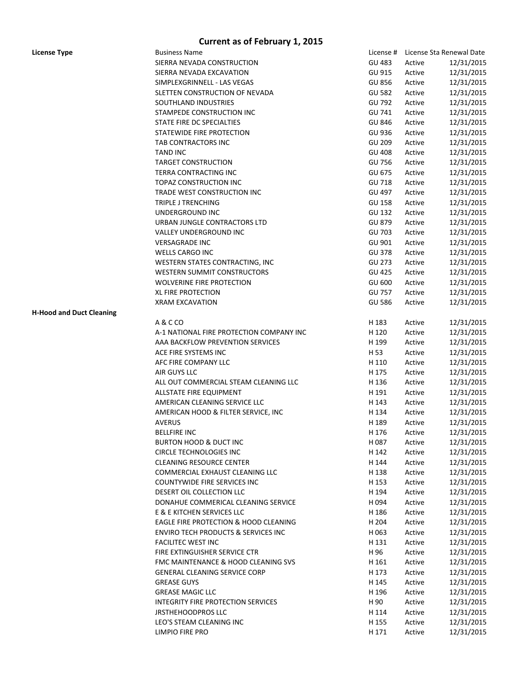| <b>License Type</b>             | <b>Business Name</b>                           | License #     |        | License Sta Renewal Date |
|---------------------------------|------------------------------------------------|---------------|--------|--------------------------|
|                                 | SIERRA NEVADA CONSTRUCTION                     | <b>GU 483</b> | Active | 12/31/2015               |
|                                 | SIERRA NEVADA EXCAVATION                       | GU 915        | Active | 12/31/2015               |
|                                 | SIMPLEXGRINNELL - LAS VEGAS                    | <b>GU 856</b> | Active | 12/31/2015               |
|                                 | SLETTEN CONSTRUCTION OF NEVADA                 | <b>GU 582</b> | Active | 12/31/2015               |
|                                 | SOUTHLAND INDUSTRIES                           | <b>GU 792</b> | Active | 12/31/2015               |
|                                 | STAMPEDE CONSTRUCTION INC                      | GU 741        | Active | 12/31/2015               |
|                                 | STATE FIRE DC SPECIALTIES                      | <b>GU 846</b> | Active | 12/31/2015               |
|                                 | STATEWIDE FIRE PROTECTION                      | <b>GU 936</b> | Active | 12/31/2015               |
|                                 | TAB CONTRACTORS INC                            | GU 209        | Active | 12/31/2015               |
|                                 | <b>TAND INC</b>                                | <b>GU 408</b> | Active | 12/31/2015               |
|                                 | <b>TARGET CONSTRUCTION</b>                     | <b>GU 756</b> | Active | 12/31/2015               |
|                                 | TERRA CONTRACTING INC                          | <b>GU 675</b> | Active | 12/31/2015               |
|                                 | TOPAZ CONSTRUCTION INC                         | <b>GU 718</b> | Active | 12/31/2015               |
|                                 | TRADE WEST CONSTRUCTION INC                    | GU 497        | Active | 12/31/2015               |
|                                 | TRIPLE J TRENCHING                             | <b>GU 158</b> | Active | 12/31/2015               |
|                                 | UNDERGROUND INC                                | <b>GU 132</b> |        |                          |
|                                 |                                                |               | Active | 12/31/2015               |
|                                 | URBAN JUNGLE CONTRACTORS LTD                   | <b>GU 879</b> | Active | 12/31/2015               |
|                                 | <b>VALLEY UNDERGROUND INC</b>                  | <b>GU 703</b> | Active | 12/31/2015               |
|                                 | <b>VERSAGRADE INC</b>                          | GU 901        | Active | 12/31/2015               |
|                                 | <b>WELLS CARGO INC</b>                         | <b>GU 378</b> | Active | 12/31/2015               |
|                                 | WESTERN STATES CONTRACTING, INC                | <b>GU 273</b> | Active | 12/31/2015               |
|                                 | WESTERN SUMMIT CONSTRUCTORS                    | <b>GU 425</b> | Active | 12/31/2015               |
|                                 | <b>WOLVERINE FIRE PROTECTION</b>               | GU 600        | Active | 12/31/2015               |
|                                 | XL FIRE PROTECTION                             | <b>GU 757</b> | Active | 12/31/2015               |
|                                 | <b>XRAM EXCAVATION</b>                         | <b>GU 586</b> | Active | 12/31/2015               |
| <b>H-Hood and Duct Cleaning</b> |                                                |               |        |                          |
|                                 | A & C CO                                       | H 183         | Active | 12/31/2015               |
|                                 | A-1 NATIONAL FIRE PROTECTION COMPANY INC       | H 120         | Active | 12/31/2015               |
|                                 | AAA BACKFLOW PREVENTION SERVICES               | H 199         | Active | 12/31/2015               |
|                                 | ACE FIRE SYSTEMS INC                           | H 53          | Active | 12/31/2015               |
|                                 | AFC FIRE COMPANY LLC                           | H 110         | Active | 12/31/2015               |
|                                 | AIR GUYS LLC                                   | H 175         | Active | 12/31/2015               |
|                                 | ALL OUT COMMERCIAL STEAM CLEANING LLC          | H 136         | Active | 12/31/2015               |
|                                 | ALLSTATE FIRE EQUIPMENT                        | H 191         | Active | 12/31/2015               |
|                                 | AMERICAN CLEANING SERVICE LLC                  | H 143         | Active | 12/31/2015               |
|                                 | AMERICAN HOOD & FILTER SERVICE, INC            | H 134         | Active | 12/31/2015               |
|                                 | <b>AVERUS</b>                                  | H 189         | Active | 12/31/2015               |
|                                 | BELLFIRE INC                                   | H 176         | Active | 12/31/2015               |
|                                 | BURTON HOOD & DUCT INC                         | H 087         | Active | 12/31/2015               |
|                                 | <b>CIRCLE TECHNOLOGIES INC</b>                 | H 142         | Active | 12/31/2015               |
|                                 | <b>CLEANING RESOURCE CENTER</b>                | H 144         | Active | 12/31/2015               |
|                                 | COMMERCIAL EXHAUST CLEANING LLC                | H 138         | Active | 12/31/2015               |
|                                 | <b>COUNTYWIDE FIRE SERVICES INC</b>            | H 153         | Active | 12/31/2015               |
|                                 | DESERT OIL COLLECTION LLC                      | H 194         | Active | 12/31/2015               |
|                                 | DONAHUE COMMERICAL CLEANING SERVICE            | H 094         | Active | 12/31/2015               |
|                                 | E & E KITCHEN SERVICES LLC                     | H 186         | Active | 12/31/2015               |
|                                 | EAGLE FIRE PROTECTION & HOOD CLEANING          | H 204         | Active | 12/31/2015               |
|                                 | <b>ENVIRO TECH PRODUCTS &amp; SERVICES INC</b> | H 063         | Active | 12/31/2015               |
|                                 | <b>FACILITEC WEST INC</b>                      | H 131         | Active | 12/31/2015               |
|                                 | FIRE EXTINGUISHER SERVICE CTR                  | H 96          | Active | 12/31/2015               |
|                                 | FMC MAINTENANCE & HOOD CLEANING SVS            | H 161         | Active | 12/31/2015               |
|                                 |                                                |               |        |                          |
|                                 | <b>GENERAL CLEANING SERVICE CORP</b>           | H 173         | Active | 12/31/2015               |
|                                 | <b>GREASE GUYS</b>                             | H 145         | Active | 12/31/2015               |
|                                 | <b>GREASE MAGIC LLC</b>                        | H 196         | Active | 12/31/2015               |
|                                 | INTEGRITY FIRE PROTECTION SERVICES             | H 90          | Active | 12/31/2015               |
|                                 | <b>JRSTHEHOODPROS LLC</b>                      | H 114         | Active | 12/31/2015               |
|                                 | LEO'S STEAM CLEANING INC                       | H 155         | Active | 12/31/2015               |
|                                 | LIMPIO FIRE PRO                                | H 171         | Active | 12/31/2015               |
|                                 |                                                |               |        |                          |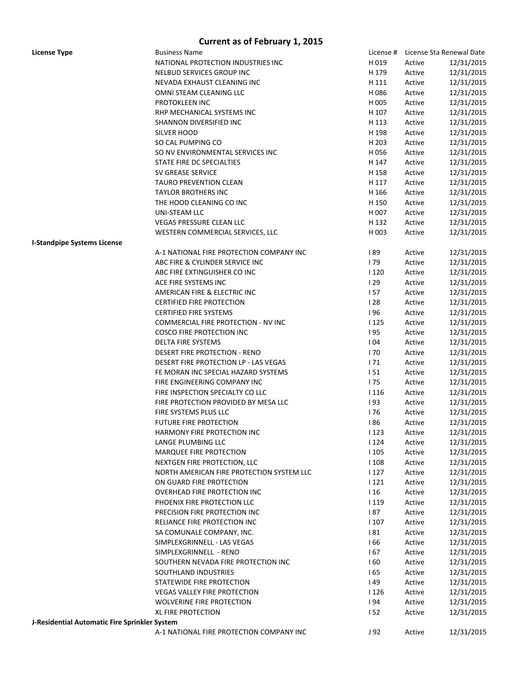| <b>License Type</b>                           | <b>Business Name</b>                       |             |        | License # License Sta Renewal Date |
|-----------------------------------------------|--------------------------------------------|-------------|--------|------------------------------------|
|                                               | NATIONAL PROTECTION INDUSTRIES INC         | H 019       | Active | 12/31/2015                         |
|                                               | NELBUD SERVICES GROUP INC                  | H 179       | Active | 12/31/2015                         |
|                                               | NEVADA EXHAUST CLEANING INC                | H 111       | Active | 12/31/2015                         |
|                                               | OMNI STEAM CLEANING LLC                    | H 086       | Active | 12/31/2015                         |
|                                               | PROTOKLEEN INC                             | H 005       | Active | 12/31/2015                         |
|                                               | RHP MECHANICAL SYSTEMS INC                 | H 107       | Active | 12/31/2015                         |
|                                               | SHANNON DIVERSIFIED INC                    | H 113       | Active | 12/31/2015                         |
|                                               | SILVER HOOD                                | H 198       | Active | 12/31/2015                         |
|                                               | SO CAL PUMPING CO                          | H 203       | Active | 12/31/2015                         |
|                                               | SO NV ENVIRONMENTAL SERVICES INC           | H 056       | Active | 12/31/2015                         |
|                                               | STATE FIRE DC SPECIALTIES                  |             |        |                                    |
|                                               |                                            | H 147       | Active | 12/31/2015                         |
|                                               | SV GREASE SERVICE                          | H 158       | Active | 12/31/2015                         |
|                                               | <b>TAURO PREVENTION CLEAN</b>              | H 117       | Active | 12/31/2015                         |
|                                               | TAYLOR BROTHERS INC                        | H 166       | Active | 12/31/2015                         |
|                                               | THE HOOD CLEANING CO INC                   | H 150       | Active | 12/31/2015                         |
|                                               | UNI-STEAM LLC                              | H 007       | Active | 12/31/2015                         |
|                                               | <b>VEGAS PRESSURE CLEAN LLC</b>            | H 132       | Active | 12/31/2015                         |
|                                               | WESTERN COMMERCIAL SERVICES, LLC           | H 003       | Active | 12/31/2015                         |
| <b>I-Standpipe Systems License</b>            |                                            |             |        |                                    |
|                                               | A-1 NATIONAL FIRE PROTECTION COMPANY INC   | 189         | Active | 12/31/2015                         |
|                                               | ABC FIRE & CYLINDER SERVICE INC            | 179         | Active | 12/31/2015                         |
|                                               | ABC FIRE EXTINGUISHER CO INC               | 1120        | Active | 12/31/2015                         |
|                                               | ACE FIRE SYSTEMS INC                       | 129         | Active | 12/31/2015                         |
|                                               | AMERICAN FIRE & ELECTRIC INC               | 157         | Active | 12/31/2015                         |
|                                               | <b>CERTIFIED FIRE PROTECTION</b>           | 128         | Active | 12/31/2015                         |
|                                               | <b>CERTIFIED FIRE SYSTEMS</b>              | 196         | Active | 12/31/2015                         |
|                                               | <b>COMMERCIAL FIRE PROTECTION - NV INC</b> | 1125        | Active | 12/31/2015                         |
|                                               | <b>COSCO FIRE PROTECTION INC</b>           | <b>195</b>  | Active | 12/31/2015                         |
|                                               | <b>DELTA FIRE SYSTEMS</b>                  | 104         | Active | 12/31/2015                         |
|                                               | DESERT FIRE PROTECTION - RENO              | l 70        | Active | 12/31/2015                         |
|                                               | DESERT FIRE PROTECTION LP - LAS VEGAS      | 171         | Active | 12/31/2015                         |
|                                               | FE MORAN INC SPECIAL HAZARD SYSTEMS        | 151         | Active | 12/31/2015                         |
|                                               | FIRE ENGINEERING COMPANY INC               | 175         | Active | 12/31/2015                         |
|                                               | FIRE INSPECTION SPECIALTY CO LLC           | 1116        | Active | 12/31/2015                         |
|                                               | FIRE PROTECTION PROVIDED BY MESA LLC       | 193         | Active | 12/31/2015                         |
|                                               | FIRE SYSTEMS PLUS LLC                      | 176         | Active | 12/31/2015                         |
|                                               |                                            |             |        |                                    |
|                                               | <b>FUTURE FIRE PROTECTION</b>              | 186         | Active | 12/31/2015                         |
|                                               | HARMONY FIRE PROTECTION INC                | l 123       | Active | 12/31/2015                         |
|                                               | LANGE PLUMBING LLC                         | 1124        | Active | 12/31/2015                         |
|                                               | MARQUEE FIRE PROTECTION                    | 1105        | Active | 12/31/2015                         |
|                                               | NEXTGEN FIRE PROTECTION, LLC               | <b>1108</b> | Active | 12/31/2015                         |
|                                               | NORTH AMERICAN FIRE PROTECTION SYSTEM LLC  | 1127        | Active | 12/31/2015                         |
|                                               | ON GUARD FIRE PROTECTION                   | 1121        | Active | 12/31/2015                         |
|                                               | OVERHEAD FIRE PROTECTION INC               | 116         | Active | 12/31/2015                         |
|                                               | PHOENIX FIRE PROTECTION LLC                | 119         | Active | 12/31/2015                         |
|                                               | PRECISION FIRE PROTECTION INC              | I 87        | Active | 12/31/2015                         |
|                                               | RELIANCE FIRE PROTECTION INC               | 1107        | Active | 12/31/2015                         |
|                                               | SA COMUNALE COMPANY, INC.                  | 181         | Active | 12/31/2015                         |
|                                               | SIMPLEXGRINNELL - LAS VEGAS                | 166         | Active | 12/31/2015                         |
|                                               | SIMPLEXGRINNELL - RENO                     | 167         | Active | 12/31/2015                         |
|                                               | SOUTHERN NEVADA FIRE PROTECTION INC        | 160         | Active | 12/31/2015                         |
|                                               | SOUTHLAND INDUSTRIES                       | 165         | Active | 12/31/2015                         |
|                                               | STATEWIDE FIRE PROTECTION                  | 149         | Active | 12/31/2015                         |
|                                               | <b>VEGAS VALLEY FIRE PROTECTION</b>        | 1126        | Active | 12/31/2015                         |
|                                               | <b>WOLVERINE FIRE PROTECTION</b>           | <b>194</b>  | Active | 12/31/2015                         |
|                                               | XL FIRE PROTECTION                         | 152         | Active | 12/31/2015                         |
| J-Residential Automatic Fire Sprinkler System |                                            |             |        |                                    |
|                                               | A-1 NATIONAL FIRE PROTECTION COMPANY INC   | J 92        | Active | 12/31/2015                         |
|                                               |                                            |             |        |                                    |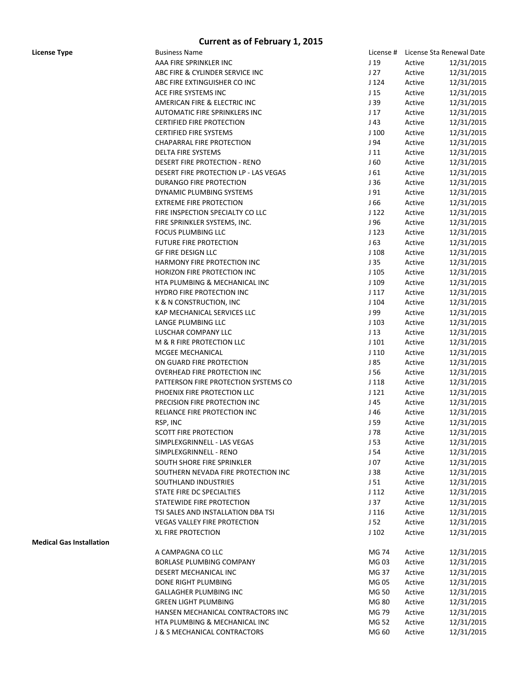| J <sub>19</sub><br>AAA FIRE SPRINKLER INC<br>Active<br>12/31/2015<br>J <sub>27</sub><br>Active<br>ABC FIRE & CYLINDER SERVICE INC<br>12/31/2015<br>ABC FIRE EXTINGUISHER CO INC<br>J 124<br>Active<br>12/31/2015<br>ACE FIRE SYSTEMS INC<br>12/31/2015<br>J <sub>15</sub><br>Active<br>J 39<br>12/31/2015<br>AMERICAN FIRE & ELECTRIC INC<br>Active<br>12/31/2015<br>AUTOMATIC FIRE SPRINKLERS INC<br>J <sub>17</sub><br>Active<br><b>CERTIFIED FIRE PROTECTION</b><br>J <sub>43</sub><br>12/31/2015<br>Active<br><b>CERTIFIED FIRE SYSTEMS</b><br>12/31/2015<br>J <sub>100</sub><br>Active<br>J 94<br>12/31/2015<br>CHAPARRAL FIRE PROTECTION<br>Active<br><b>DELTA FIRE SYSTEMS</b><br>J <sub>11</sub><br>12/31/2015<br>Active<br><b>DESERT FIRE PROTECTION - RENO</b><br>J60<br>12/31/2015<br>Active<br>DESERT FIRE PROTECTION LP - LAS VEGAS<br>J61<br>Active<br>12/31/2015<br>DURANGO FIRE PROTECTION<br>J36<br>12/31/2015<br>Active<br>DYNAMIC PLUMBING SYSTEMS<br>J 91<br>12/31/2015<br>Active<br><b>EXTREME FIRE PROTECTION</b><br>J66<br>12/31/2015<br>Active<br>FIRE INSPECTION SPECIALTY CO LLC<br>12/31/2015<br>J 122<br>Active<br>J 96<br>12/31/2015<br>FIRE SPRINKLER SYSTEMS, INC.<br>Active<br><b>FOCUS PLUMBING LLC</b><br>J <sub>123</sub><br>12/31/2015<br>Active<br><b>FUTURE FIRE PROTECTION</b><br>J <sub>63</sub><br>12/31/2015<br>Active<br><b>GF FIRE DESIGN LLC</b><br>J <sub>108</sub><br>Active<br>12/31/2015<br>HARMONY FIRE PROTECTION INC<br>J <sub>35</sub><br>Active<br>12/31/2015<br>HORIZON FIRE PROTECTION INC<br>$J$ 105<br>Active<br>12/31/2015<br>HTA PLUMBING & MECHANICAL INC<br>J <sub>109</sub><br>Active<br>12/31/2015<br>HYDRO FIRE PROTECTION INC<br>J 117<br>Active<br>12/31/2015<br>$J$ 104<br>K & N CONSTRUCTION, INC<br>Active<br>12/31/2015<br>J 99<br>KAP MECHANICAL SERVICES LLC<br>Active<br>12/31/2015<br>LANGE PLUMBING LLC<br>J <sub>103</sub><br>Active<br>12/31/2015<br>LUSCHAR COMPANY LLC<br>J <sub>13</sub><br>Active<br>12/31/2015<br>M & R FIRE PROTECTION LLC<br>$J$ 101<br>Active<br>12/31/2015<br>MCGEE MECHANICAL<br>J <sub>110</sub><br>Active<br>12/31/2015<br>J85<br>ON GUARD FIRE PROTECTION<br>Active<br>12/31/2015<br>OVERHEAD FIRE PROTECTION INC<br>J56<br>Active<br>12/31/2015<br>PATTERSON FIRE PROTECTION SYSTEMS CO<br>J <sub>118</sub><br>Active<br>12/31/2015<br>PHOENIX FIRE PROTECTION LLC<br>J 121<br>Active<br>12/31/2015<br>PRECISION FIRE PROTECTION INC<br>J 45<br>Active<br>RELIANCE FIRE PROTECTION INC<br>J 46<br>Active<br>J <sub>59</sub><br>RSP, INC<br>12/31/2015<br>Active<br>12/31/2015<br><b>SCOTT FIRE PROTECTION</b><br>J 78<br>Active<br>12/31/2015<br>SIMPLEXGRINNELL - LAS VEGAS<br>J <sub>53</sub><br>Active<br>SIMPLEXGRINNELL - RENO<br>J <sub>54</sub><br>Active<br>SOUTH SHORE FIRE SPRINKLER<br>$J_{07}$<br>Active<br>SOUTHERN NEVADA FIRE PROTECTION INC<br>J38<br>Active<br>SOUTHLAND INDUSTRIES<br>J <sub>51</sub><br>Active<br>STATE FIRE DC SPECIALTIES<br>J <sub>112</sub><br>Active<br>STATEWIDE FIRE PROTECTION<br>J <sub>37</sub><br>Active<br>TSI SALES AND INSTALLATION DBA TSI<br>J <sub>116</sub><br>Active<br><b>VEGAS VALLEY FIRE PROTECTION</b><br>J <sub>52</sub><br>Active<br><b>XL FIRE PROTECTION</b><br>J 102<br>Active<br><b>Medical Gas Installation</b><br>A CAMPAGNA CO LLC<br>MG 74<br>Active<br>BORLASE PLUMBING COMPANY<br>MG 03<br>Active<br>DESERT MECHANICAL INC<br>MG 37<br>Active<br>DONE RIGHT PLUMBING<br>MG 05<br>Active<br>GALLAGHER PLUMBING INC<br>MG 50<br>Active<br>12/31/2015<br><b>GREEN LIGHT PLUMBING</b><br>MG 80<br>12/31/2015<br>Active<br>HANSEN MECHANICAL CONTRACTORS INC<br>MG 79<br>12/31/2015<br>Active<br>HTA PLUMBING & MECHANICAL INC<br>MG 52<br>12/31/2015<br>Active<br>J & S MECHANICAL CONTRACTORS<br>MG 60 | <b>License Type</b> | <b>Business Name</b> |        | License # License Sta Renewal Date |
|----------------------------------------------------------------------------------------------------------------------------------------------------------------------------------------------------------------------------------------------------------------------------------------------------------------------------------------------------------------------------------------------------------------------------------------------------------------------------------------------------------------------------------------------------------------------------------------------------------------------------------------------------------------------------------------------------------------------------------------------------------------------------------------------------------------------------------------------------------------------------------------------------------------------------------------------------------------------------------------------------------------------------------------------------------------------------------------------------------------------------------------------------------------------------------------------------------------------------------------------------------------------------------------------------------------------------------------------------------------------------------------------------------------------------------------------------------------------------------------------------------------------------------------------------------------------------------------------------------------------------------------------------------------------------------------------------------------------------------------------------------------------------------------------------------------------------------------------------------------------------------------------------------------------------------------------------------------------------------------------------------------------------------------------------------------------------------------------------------------------------------------------------------------------------------------------------------------------------------------------------------------------------------------------------------------------------------------------------------------------------------------------------------------------------------------------------------------------------------------------------------------------------------------------------------------------------------------------------------------------------------------------------------------------------------------------------------------------------------------------------------------------------------------------------------------------------------------------------------------------------------------------------------------------------------------------------------------------------------------------------------------------------------------------------------------------------------------------------------------------------------------------------------------------------------------------------------------------------------------------------------------------------------------------------------------------------------------------------------------------------------------------------------------------------------------------------------------------------------------------------------------------------------------------------------------------------------------------------------------------------------------------------------------------------------------------------------------------------------------------------------------------------------------|---------------------|----------------------|--------|------------------------------------|
|                                                                                                                                                                                                                                                                                                                                                                                                                                                                                                                                                                                                                                                                                                                                                                                                                                                                                                                                                                                                                                                                                                                                                                                                                                                                                                                                                                                                                                                                                                                                                                                                                                                                                                                                                                                                                                                                                                                                                                                                                                                                                                                                                                                                                                                                                                                                                                                                                                                                                                                                                                                                                                                                                                                                                                                                                                                                                                                                                                                                                                                                                                                                                                                                                                                                                                                                                                                                                                                                                                                                                                                                                                                                                                                                                                                        |                     |                      |        |                                    |
|                                                                                                                                                                                                                                                                                                                                                                                                                                                                                                                                                                                                                                                                                                                                                                                                                                                                                                                                                                                                                                                                                                                                                                                                                                                                                                                                                                                                                                                                                                                                                                                                                                                                                                                                                                                                                                                                                                                                                                                                                                                                                                                                                                                                                                                                                                                                                                                                                                                                                                                                                                                                                                                                                                                                                                                                                                                                                                                                                                                                                                                                                                                                                                                                                                                                                                                                                                                                                                                                                                                                                                                                                                                                                                                                                                                        |                     |                      |        |                                    |
|                                                                                                                                                                                                                                                                                                                                                                                                                                                                                                                                                                                                                                                                                                                                                                                                                                                                                                                                                                                                                                                                                                                                                                                                                                                                                                                                                                                                                                                                                                                                                                                                                                                                                                                                                                                                                                                                                                                                                                                                                                                                                                                                                                                                                                                                                                                                                                                                                                                                                                                                                                                                                                                                                                                                                                                                                                                                                                                                                                                                                                                                                                                                                                                                                                                                                                                                                                                                                                                                                                                                                                                                                                                                                                                                                                                        |                     |                      |        |                                    |
|                                                                                                                                                                                                                                                                                                                                                                                                                                                                                                                                                                                                                                                                                                                                                                                                                                                                                                                                                                                                                                                                                                                                                                                                                                                                                                                                                                                                                                                                                                                                                                                                                                                                                                                                                                                                                                                                                                                                                                                                                                                                                                                                                                                                                                                                                                                                                                                                                                                                                                                                                                                                                                                                                                                                                                                                                                                                                                                                                                                                                                                                                                                                                                                                                                                                                                                                                                                                                                                                                                                                                                                                                                                                                                                                                                                        |                     |                      |        |                                    |
|                                                                                                                                                                                                                                                                                                                                                                                                                                                                                                                                                                                                                                                                                                                                                                                                                                                                                                                                                                                                                                                                                                                                                                                                                                                                                                                                                                                                                                                                                                                                                                                                                                                                                                                                                                                                                                                                                                                                                                                                                                                                                                                                                                                                                                                                                                                                                                                                                                                                                                                                                                                                                                                                                                                                                                                                                                                                                                                                                                                                                                                                                                                                                                                                                                                                                                                                                                                                                                                                                                                                                                                                                                                                                                                                                                                        |                     |                      |        |                                    |
|                                                                                                                                                                                                                                                                                                                                                                                                                                                                                                                                                                                                                                                                                                                                                                                                                                                                                                                                                                                                                                                                                                                                                                                                                                                                                                                                                                                                                                                                                                                                                                                                                                                                                                                                                                                                                                                                                                                                                                                                                                                                                                                                                                                                                                                                                                                                                                                                                                                                                                                                                                                                                                                                                                                                                                                                                                                                                                                                                                                                                                                                                                                                                                                                                                                                                                                                                                                                                                                                                                                                                                                                                                                                                                                                                                                        |                     |                      |        |                                    |
|                                                                                                                                                                                                                                                                                                                                                                                                                                                                                                                                                                                                                                                                                                                                                                                                                                                                                                                                                                                                                                                                                                                                                                                                                                                                                                                                                                                                                                                                                                                                                                                                                                                                                                                                                                                                                                                                                                                                                                                                                                                                                                                                                                                                                                                                                                                                                                                                                                                                                                                                                                                                                                                                                                                                                                                                                                                                                                                                                                                                                                                                                                                                                                                                                                                                                                                                                                                                                                                                                                                                                                                                                                                                                                                                                                                        |                     |                      |        |                                    |
|                                                                                                                                                                                                                                                                                                                                                                                                                                                                                                                                                                                                                                                                                                                                                                                                                                                                                                                                                                                                                                                                                                                                                                                                                                                                                                                                                                                                                                                                                                                                                                                                                                                                                                                                                                                                                                                                                                                                                                                                                                                                                                                                                                                                                                                                                                                                                                                                                                                                                                                                                                                                                                                                                                                                                                                                                                                                                                                                                                                                                                                                                                                                                                                                                                                                                                                                                                                                                                                                                                                                                                                                                                                                                                                                                                                        |                     |                      |        |                                    |
|                                                                                                                                                                                                                                                                                                                                                                                                                                                                                                                                                                                                                                                                                                                                                                                                                                                                                                                                                                                                                                                                                                                                                                                                                                                                                                                                                                                                                                                                                                                                                                                                                                                                                                                                                                                                                                                                                                                                                                                                                                                                                                                                                                                                                                                                                                                                                                                                                                                                                                                                                                                                                                                                                                                                                                                                                                                                                                                                                                                                                                                                                                                                                                                                                                                                                                                                                                                                                                                                                                                                                                                                                                                                                                                                                                                        |                     |                      |        |                                    |
|                                                                                                                                                                                                                                                                                                                                                                                                                                                                                                                                                                                                                                                                                                                                                                                                                                                                                                                                                                                                                                                                                                                                                                                                                                                                                                                                                                                                                                                                                                                                                                                                                                                                                                                                                                                                                                                                                                                                                                                                                                                                                                                                                                                                                                                                                                                                                                                                                                                                                                                                                                                                                                                                                                                                                                                                                                                                                                                                                                                                                                                                                                                                                                                                                                                                                                                                                                                                                                                                                                                                                                                                                                                                                                                                                                                        |                     |                      |        |                                    |
|                                                                                                                                                                                                                                                                                                                                                                                                                                                                                                                                                                                                                                                                                                                                                                                                                                                                                                                                                                                                                                                                                                                                                                                                                                                                                                                                                                                                                                                                                                                                                                                                                                                                                                                                                                                                                                                                                                                                                                                                                                                                                                                                                                                                                                                                                                                                                                                                                                                                                                                                                                                                                                                                                                                                                                                                                                                                                                                                                                                                                                                                                                                                                                                                                                                                                                                                                                                                                                                                                                                                                                                                                                                                                                                                                                                        |                     |                      |        |                                    |
|                                                                                                                                                                                                                                                                                                                                                                                                                                                                                                                                                                                                                                                                                                                                                                                                                                                                                                                                                                                                                                                                                                                                                                                                                                                                                                                                                                                                                                                                                                                                                                                                                                                                                                                                                                                                                                                                                                                                                                                                                                                                                                                                                                                                                                                                                                                                                                                                                                                                                                                                                                                                                                                                                                                                                                                                                                                                                                                                                                                                                                                                                                                                                                                                                                                                                                                                                                                                                                                                                                                                                                                                                                                                                                                                                                                        |                     |                      |        |                                    |
|                                                                                                                                                                                                                                                                                                                                                                                                                                                                                                                                                                                                                                                                                                                                                                                                                                                                                                                                                                                                                                                                                                                                                                                                                                                                                                                                                                                                                                                                                                                                                                                                                                                                                                                                                                                                                                                                                                                                                                                                                                                                                                                                                                                                                                                                                                                                                                                                                                                                                                                                                                                                                                                                                                                                                                                                                                                                                                                                                                                                                                                                                                                                                                                                                                                                                                                                                                                                                                                                                                                                                                                                                                                                                                                                                                                        |                     |                      |        |                                    |
|                                                                                                                                                                                                                                                                                                                                                                                                                                                                                                                                                                                                                                                                                                                                                                                                                                                                                                                                                                                                                                                                                                                                                                                                                                                                                                                                                                                                                                                                                                                                                                                                                                                                                                                                                                                                                                                                                                                                                                                                                                                                                                                                                                                                                                                                                                                                                                                                                                                                                                                                                                                                                                                                                                                                                                                                                                                                                                                                                                                                                                                                                                                                                                                                                                                                                                                                                                                                                                                                                                                                                                                                                                                                                                                                                                                        |                     |                      |        |                                    |
|                                                                                                                                                                                                                                                                                                                                                                                                                                                                                                                                                                                                                                                                                                                                                                                                                                                                                                                                                                                                                                                                                                                                                                                                                                                                                                                                                                                                                                                                                                                                                                                                                                                                                                                                                                                                                                                                                                                                                                                                                                                                                                                                                                                                                                                                                                                                                                                                                                                                                                                                                                                                                                                                                                                                                                                                                                                                                                                                                                                                                                                                                                                                                                                                                                                                                                                                                                                                                                                                                                                                                                                                                                                                                                                                                                                        |                     |                      |        |                                    |
|                                                                                                                                                                                                                                                                                                                                                                                                                                                                                                                                                                                                                                                                                                                                                                                                                                                                                                                                                                                                                                                                                                                                                                                                                                                                                                                                                                                                                                                                                                                                                                                                                                                                                                                                                                                                                                                                                                                                                                                                                                                                                                                                                                                                                                                                                                                                                                                                                                                                                                                                                                                                                                                                                                                                                                                                                                                                                                                                                                                                                                                                                                                                                                                                                                                                                                                                                                                                                                                                                                                                                                                                                                                                                                                                                                                        |                     |                      |        |                                    |
|                                                                                                                                                                                                                                                                                                                                                                                                                                                                                                                                                                                                                                                                                                                                                                                                                                                                                                                                                                                                                                                                                                                                                                                                                                                                                                                                                                                                                                                                                                                                                                                                                                                                                                                                                                                                                                                                                                                                                                                                                                                                                                                                                                                                                                                                                                                                                                                                                                                                                                                                                                                                                                                                                                                                                                                                                                                                                                                                                                                                                                                                                                                                                                                                                                                                                                                                                                                                                                                                                                                                                                                                                                                                                                                                                                                        |                     |                      |        |                                    |
|                                                                                                                                                                                                                                                                                                                                                                                                                                                                                                                                                                                                                                                                                                                                                                                                                                                                                                                                                                                                                                                                                                                                                                                                                                                                                                                                                                                                                                                                                                                                                                                                                                                                                                                                                                                                                                                                                                                                                                                                                                                                                                                                                                                                                                                                                                                                                                                                                                                                                                                                                                                                                                                                                                                                                                                                                                                                                                                                                                                                                                                                                                                                                                                                                                                                                                                                                                                                                                                                                                                                                                                                                                                                                                                                                                                        |                     |                      |        |                                    |
|                                                                                                                                                                                                                                                                                                                                                                                                                                                                                                                                                                                                                                                                                                                                                                                                                                                                                                                                                                                                                                                                                                                                                                                                                                                                                                                                                                                                                                                                                                                                                                                                                                                                                                                                                                                                                                                                                                                                                                                                                                                                                                                                                                                                                                                                                                                                                                                                                                                                                                                                                                                                                                                                                                                                                                                                                                                                                                                                                                                                                                                                                                                                                                                                                                                                                                                                                                                                                                                                                                                                                                                                                                                                                                                                                                                        |                     |                      |        |                                    |
|                                                                                                                                                                                                                                                                                                                                                                                                                                                                                                                                                                                                                                                                                                                                                                                                                                                                                                                                                                                                                                                                                                                                                                                                                                                                                                                                                                                                                                                                                                                                                                                                                                                                                                                                                                                                                                                                                                                                                                                                                                                                                                                                                                                                                                                                                                                                                                                                                                                                                                                                                                                                                                                                                                                                                                                                                                                                                                                                                                                                                                                                                                                                                                                                                                                                                                                                                                                                                                                                                                                                                                                                                                                                                                                                                                                        |                     |                      |        |                                    |
|                                                                                                                                                                                                                                                                                                                                                                                                                                                                                                                                                                                                                                                                                                                                                                                                                                                                                                                                                                                                                                                                                                                                                                                                                                                                                                                                                                                                                                                                                                                                                                                                                                                                                                                                                                                                                                                                                                                                                                                                                                                                                                                                                                                                                                                                                                                                                                                                                                                                                                                                                                                                                                                                                                                                                                                                                                                                                                                                                                                                                                                                                                                                                                                                                                                                                                                                                                                                                                                                                                                                                                                                                                                                                                                                                                                        |                     |                      |        |                                    |
|                                                                                                                                                                                                                                                                                                                                                                                                                                                                                                                                                                                                                                                                                                                                                                                                                                                                                                                                                                                                                                                                                                                                                                                                                                                                                                                                                                                                                                                                                                                                                                                                                                                                                                                                                                                                                                                                                                                                                                                                                                                                                                                                                                                                                                                                                                                                                                                                                                                                                                                                                                                                                                                                                                                                                                                                                                                                                                                                                                                                                                                                                                                                                                                                                                                                                                                                                                                                                                                                                                                                                                                                                                                                                                                                                                                        |                     |                      |        |                                    |
|                                                                                                                                                                                                                                                                                                                                                                                                                                                                                                                                                                                                                                                                                                                                                                                                                                                                                                                                                                                                                                                                                                                                                                                                                                                                                                                                                                                                                                                                                                                                                                                                                                                                                                                                                                                                                                                                                                                                                                                                                                                                                                                                                                                                                                                                                                                                                                                                                                                                                                                                                                                                                                                                                                                                                                                                                                                                                                                                                                                                                                                                                                                                                                                                                                                                                                                                                                                                                                                                                                                                                                                                                                                                                                                                                                                        |                     |                      |        |                                    |
|                                                                                                                                                                                                                                                                                                                                                                                                                                                                                                                                                                                                                                                                                                                                                                                                                                                                                                                                                                                                                                                                                                                                                                                                                                                                                                                                                                                                                                                                                                                                                                                                                                                                                                                                                                                                                                                                                                                                                                                                                                                                                                                                                                                                                                                                                                                                                                                                                                                                                                                                                                                                                                                                                                                                                                                                                                                                                                                                                                                                                                                                                                                                                                                                                                                                                                                                                                                                                                                                                                                                                                                                                                                                                                                                                                                        |                     |                      |        |                                    |
|                                                                                                                                                                                                                                                                                                                                                                                                                                                                                                                                                                                                                                                                                                                                                                                                                                                                                                                                                                                                                                                                                                                                                                                                                                                                                                                                                                                                                                                                                                                                                                                                                                                                                                                                                                                                                                                                                                                                                                                                                                                                                                                                                                                                                                                                                                                                                                                                                                                                                                                                                                                                                                                                                                                                                                                                                                                                                                                                                                                                                                                                                                                                                                                                                                                                                                                                                                                                                                                                                                                                                                                                                                                                                                                                                                                        |                     |                      |        |                                    |
|                                                                                                                                                                                                                                                                                                                                                                                                                                                                                                                                                                                                                                                                                                                                                                                                                                                                                                                                                                                                                                                                                                                                                                                                                                                                                                                                                                                                                                                                                                                                                                                                                                                                                                                                                                                                                                                                                                                                                                                                                                                                                                                                                                                                                                                                                                                                                                                                                                                                                                                                                                                                                                                                                                                                                                                                                                                                                                                                                                                                                                                                                                                                                                                                                                                                                                                                                                                                                                                                                                                                                                                                                                                                                                                                                                                        |                     |                      |        |                                    |
|                                                                                                                                                                                                                                                                                                                                                                                                                                                                                                                                                                                                                                                                                                                                                                                                                                                                                                                                                                                                                                                                                                                                                                                                                                                                                                                                                                                                                                                                                                                                                                                                                                                                                                                                                                                                                                                                                                                                                                                                                                                                                                                                                                                                                                                                                                                                                                                                                                                                                                                                                                                                                                                                                                                                                                                                                                                                                                                                                                                                                                                                                                                                                                                                                                                                                                                                                                                                                                                                                                                                                                                                                                                                                                                                                                                        |                     |                      |        |                                    |
|                                                                                                                                                                                                                                                                                                                                                                                                                                                                                                                                                                                                                                                                                                                                                                                                                                                                                                                                                                                                                                                                                                                                                                                                                                                                                                                                                                                                                                                                                                                                                                                                                                                                                                                                                                                                                                                                                                                                                                                                                                                                                                                                                                                                                                                                                                                                                                                                                                                                                                                                                                                                                                                                                                                                                                                                                                                                                                                                                                                                                                                                                                                                                                                                                                                                                                                                                                                                                                                                                                                                                                                                                                                                                                                                                                                        |                     |                      |        |                                    |
|                                                                                                                                                                                                                                                                                                                                                                                                                                                                                                                                                                                                                                                                                                                                                                                                                                                                                                                                                                                                                                                                                                                                                                                                                                                                                                                                                                                                                                                                                                                                                                                                                                                                                                                                                                                                                                                                                                                                                                                                                                                                                                                                                                                                                                                                                                                                                                                                                                                                                                                                                                                                                                                                                                                                                                                                                                                                                                                                                                                                                                                                                                                                                                                                                                                                                                                                                                                                                                                                                                                                                                                                                                                                                                                                                                                        |                     |                      |        |                                    |
|                                                                                                                                                                                                                                                                                                                                                                                                                                                                                                                                                                                                                                                                                                                                                                                                                                                                                                                                                                                                                                                                                                                                                                                                                                                                                                                                                                                                                                                                                                                                                                                                                                                                                                                                                                                                                                                                                                                                                                                                                                                                                                                                                                                                                                                                                                                                                                                                                                                                                                                                                                                                                                                                                                                                                                                                                                                                                                                                                                                                                                                                                                                                                                                                                                                                                                                                                                                                                                                                                                                                                                                                                                                                                                                                                                                        |                     |                      |        |                                    |
|                                                                                                                                                                                                                                                                                                                                                                                                                                                                                                                                                                                                                                                                                                                                                                                                                                                                                                                                                                                                                                                                                                                                                                                                                                                                                                                                                                                                                                                                                                                                                                                                                                                                                                                                                                                                                                                                                                                                                                                                                                                                                                                                                                                                                                                                                                                                                                                                                                                                                                                                                                                                                                                                                                                                                                                                                                                                                                                                                                                                                                                                                                                                                                                                                                                                                                                                                                                                                                                                                                                                                                                                                                                                                                                                                                                        |                     |                      |        |                                    |
|                                                                                                                                                                                                                                                                                                                                                                                                                                                                                                                                                                                                                                                                                                                                                                                                                                                                                                                                                                                                                                                                                                                                                                                                                                                                                                                                                                                                                                                                                                                                                                                                                                                                                                                                                                                                                                                                                                                                                                                                                                                                                                                                                                                                                                                                                                                                                                                                                                                                                                                                                                                                                                                                                                                                                                                                                                                                                                                                                                                                                                                                                                                                                                                                                                                                                                                                                                                                                                                                                                                                                                                                                                                                                                                                                                                        |                     |                      |        |                                    |
|                                                                                                                                                                                                                                                                                                                                                                                                                                                                                                                                                                                                                                                                                                                                                                                                                                                                                                                                                                                                                                                                                                                                                                                                                                                                                                                                                                                                                                                                                                                                                                                                                                                                                                                                                                                                                                                                                                                                                                                                                                                                                                                                                                                                                                                                                                                                                                                                                                                                                                                                                                                                                                                                                                                                                                                                                                                                                                                                                                                                                                                                                                                                                                                                                                                                                                                                                                                                                                                                                                                                                                                                                                                                                                                                                                                        |                     |                      |        |                                    |
|                                                                                                                                                                                                                                                                                                                                                                                                                                                                                                                                                                                                                                                                                                                                                                                                                                                                                                                                                                                                                                                                                                                                                                                                                                                                                                                                                                                                                                                                                                                                                                                                                                                                                                                                                                                                                                                                                                                                                                                                                                                                                                                                                                                                                                                                                                                                                                                                                                                                                                                                                                                                                                                                                                                                                                                                                                                                                                                                                                                                                                                                                                                                                                                                                                                                                                                                                                                                                                                                                                                                                                                                                                                                                                                                                                                        |                     |                      |        |                                    |
|                                                                                                                                                                                                                                                                                                                                                                                                                                                                                                                                                                                                                                                                                                                                                                                                                                                                                                                                                                                                                                                                                                                                                                                                                                                                                                                                                                                                                                                                                                                                                                                                                                                                                                                                                                                                                                                                                                                                                                                                                                                                                                                                                                                                                                                                                                                                                                                                                                                                                                                                                                                                                                                                                                                                                                                                                                                                                                                                                                                                                                                                                                                                                                                                                                                                                                                                                                                                                                                                                                                                                                                                                                                                                                                                                                                        |                     |                      |        |                                    |
|                                                                                                                                                                                                                                                                                                                                                                                                                                                                                                                                                                                                                                                                                                                                                                                                                                                                                                                                                                                                                                                                                                                                                                                                                                                                                                                                                                                                                                                                                                                                                                                                                                                                                                                                                                                                                                                                                                                                                                                                                                                                                                                                                                                                                                                                                                                                                                                                                                                                                                                                                                                                                                                                                                                                                                                                                                                                                                                                                                                                                                                                                                                                                                                                                                                                                                                                                                                                                                                                                                                                                                                                                                                                                                                                                                                        |                     |                      |        | 12/31/2015                         |
|                                                                                                                                                                                                                                                                                                                                                                                                                                                                                                                                                                                                                                                                                                                                                                                                                                                                                                                                                                                                                                                                                                                                                                                                                                                                                                                                                                                                                                                                                                                                                                                                                                                                                                                                                                                                                                                                                                                                                                                                                                                                                                                                                                                                                                                                                                                                                                                                                                                                                                                                                                                                                                                                                                                                                                                                                                                                                                                                                                                                                                                                                                                                                                                                                                                                                                                                                                                                                                                                                                                                                                                                                                                                                                                                                                                        |                     |                      |        | 12/31/2015                         |
|                                                                                                                                                                                                                                                                                                                                                                                                                                                                                                                                                                                                                                                                                                                                                                                                                                                                                                                                                                                                                                                                                                                                                                                                                                                                                                                                                                                                                                                                                                                                                                                                                                                                                                                                                                                                                                                                                                                                                                                                                                                                                                                                                                                                                                                                                                                                                                                                                                                                                                                                                                                                                                                                                                                                                                                                                                                                                                                                                                                                                                                                                                                                                                                                                                                                                                                                                                                                                                                                                                                                                                                                                                                                                                                                                                                        |                     |                      |        |                                    |
|                                                                                                                                                                                                                                                                                                                                                                                                                                                                                                                                                                                                                                                                                                                                                                                                                                                                                                                                                                                                                                                                                                                                                                                                                                                                                                                                                                                                                                                                                                                                                                                                                                                                                                                                                                                                                                                                                                                                                                                                                                                                                                                                                                                                                                                                                                                                                                                                                                                                                                                                                                                                                                                                                                                                                                                                                                                                                                                                                                                                                                                                                                                                                                                                                                                                                                                                                                                                                                                                                                                                                                                                                                                                                                                                                                                        |                     |                      |        |                                    |
|                                                                                                                                                                                                                                                                                                                                                                                                                                                                                                                                                                                                                                                                                                                                                                                                                                                                                                                                                                                                                                                                                                                                                                                                                                                                                                                                                                                                                                                                                                                                                                                                                                                                                                                                                                                                                                                                                                                                                                                                                                                                                                                                                                                                                                                                                                                                                                                                                                                                                                                                                                                                                                                                                                                                                                                                                                                                                                                                                                                                                                                                                                                                                                                                                                                                                                                                                                                                                                                                                                                                                                                                                                                                                                                                                                                        |                     |                      |        |                                    |
|                                                                                                                                                                                                                                                                                                                                                                                                                                                                                                                                                                                                                                                                                                                                                                                                                                                                                                                                                                                                                                                                                                                                                                                                                                                                                                                                                                                                                                                                                                                                                                                                                                                                                                                                                                                                                                                                                                                                                                                                                                                                                                                                                                                                                                                                                                                                                                                                                                                                                                                                                                                                                                                                                                                                                                                                                                                                                                                                                                                                                                                                                                                                                                                                                                                                                                                                                                                                                                                                                                                                                                                                                                                                                                                                                                                        |                     |                      |        | 12/31/2015                         |
|                                                                                                                                                                                                                                                                                                                                                                                                                                                                                                                                                                                                                                                                                                                                                                                                                                                                                                                                                                                                                                                                                                                                                                                                                                                                                                                                                                                                                                                                                                                                                                                                                                                                                                                                                                                                                                                                                                                                                                                                                                                                                                                                                                                                                                                                                                                                                                                                                                                                                                                                                                                                                                                                                                                                                                                                                                                                                                                                                                                                                                                                                                                                                                                                                                                                                                                                                                                                                                                                                                                                                                                                                                                                                                                                                                                        |                     |                      |        | 12/31/2015                         |
|                                                                                                                                                                                                                                                                                                                                                                                                                                                                                                                                                                                                                                                                                                                                                                                                                                                                                                                                                                                                                                                                                                                                                                                                                                                                                                                                                                                                                                                                                                                                                                                                                                                                                                                                                                                                                                                                                                                                                                                                                                                                                                                                                                                                                                                                                                                                                                                                                                                                                                                                                                                                                                                                                                                                                                                                                                                                                                                                                                                                                                                                                                                                                                                                                                                                                                                                                                                                                                                                                                                                                                                                                                                                                                                                                                                        |                     |                      |        | 12/31/2015                         |
|                                                                                                                                                                                                                                                                                                                                                                                                                                                                                                                                                                                                                                                                                                                                                                                                                                                                                                                                                                                                                                                                                                                                                                                                                                                                                                                                                                                                                                                                                                                                                                                                                                                                                                                                                                                                                                                                                                                                                                                                                                                                                                                                                                                                                                                                                                                                                                                                                                                                                                                                                                                                                                                                                                                                                                                                                                                                                                                                                                                                                                                                                                                                                                                                                                                                                                                                                                                                                                                                                                                                                                                                                                                                                                                                                                                        |                     |                      |        | 12/31/2015                         |
|                                                                                                                                                                                                                                                                                                                                                                                                                                                                                                                                                                                                                                                                                                                                                                                                                                                                                                                                                                                                                                                                                                                                                                                                                                                                                                                                                                                                                                                                                                                                                                                                                                                                                                                                                                                                                                                                                                                                                                                                                                                                                                                                                                                                                                                                                                                                                                                                                                                                                                                                                                                                                                                                                                                                                                                                                                                                                                                                                                                                                                                                                                                                                                                                                                                                                                                                                                                                                                                                                                                                                                                                                                                                                                                                                                                        |                     |                      |        | 12/31/2015                         |
|                                                                                                                                                                                                                                                                                                                                                                                                                                                                                                                                                                                                                                                                                                                                                                                                                                                                                                                                                                                                                                                                                                                                                                                                                                                                                                                                                                                                                                                                                                                                                                                                                                                                                                                                                                                                                                                                                                                                                                                                                                                                                                                                                                                                                                                                                                                                                                                                                                                                                                                                                                                                                                                                                                                                                                                                                                                                                                                                                                                                                                                                                                                                                                                                                                                                                                                                                                                                                                                                                                                                                                                                                                                                                                                                                                                        |                     |                      |        | 12/31/2015                         |
|                                                                                                                                                                                                                                                                                                                                                                                                                                                                                                                                                                                                                                                                                                                                                                                                                                                                                                                                                                                                                                                                                                                                                                                                                                                                                                                                                                                                                                                                                                                                                                                                                                                                                                                                                                                                                                                                                                                                                                                                                                                                                                                                                                                                                                                                                                                                                                                                                                                                                                                                                                                                                                                                                                                                                                                                                                                                                                                                                                                                                                                                                                                                                                                                                                                                                                                                                                                                                                                                                                                                                                                                                                                                                                                                                                                        |                     |                      |        | 12/31/2015                         |
|                                                                                                                                                                                                                                                                                                                                                                                                                                                                                                                                                                                                                                                                                                                                                                                                                                                                                                                                                                                                                                                                                                                                                                                                                                                                                                                                                                                                                                                                                                                                                                                                                                                                                                                                                                                                                                                                                                                                                                                                                                                                                                                                                                                                                                                                                                                                                                                                                                                                                                                                                                                                                                                                                                                                                                                                                                                                                                                                                                                                                                                                                                                                                                                                                                                                                                                                                                                                                                                                                                                                                                                                                                                                                                                                                                                        |                     |                      |        | 12/31/2015                         |
|                                                                                                                                                                                                                                                                                                                                                                                                                                                                                                                                                                                                                                                                                                                                                                                                                                                                                                                                                                                                                                                                                                                                                                                                                                                                                                                                                                                                                                                                                                                                                                                                                                                                                                                                                                                                                                                                                                                                                                                                                                                                                                                                                                                                                                                                                                                                                                                                                                                                                                                                                                                                                                                                                                                                                                                                                                                                                                                                                                                                                                                                                                                                                                                                                                                                                                                                                                                                                                                                                                                                                                                                                                                                                                                                                                                        |                     |                      |        | 12/31/2015                         |
|                                                                                                                                                                                                                                                                                                                                                                                                                                                                                                                                                                                                                                                                                                                                                                                                                                                                                                                                                                                                                                                                                                                                                                                                                                                                                                                                                                                                                                                                                                                                                                                                                                                                                                                                                                                                                                                                                                                                                                                                                                                                                                                                                                                                                                                                                                                                                                                                                                                                                                                                                                                                                                                                                                                                                                                                                                                                                                                                                                                                                                                                                                                                                                                                                                                                                                                                                                                                                                                                                                                                                                                                                                                                                                                                                                                        |                     |                      |        |                                    |
|                                                                                                                                                                                                                                                                                                                                                                                                                                                                                                                                                                                                                                                                                                                                                                                                                                                                                                                                                                                                                                                                                                                                                                                                                                                                                                                                                                                                                                                                                                                                                                                                                                                                                                                                                                                                                                                                                                                                                                                                                                                                                                                                                                                                                                                                                                                                                                                                                                                                                                                                                                                                                                                                                                                                                                                                                                                                                                                                                                                                                                                                                                                                                                                                                                                                                                                                                                                                                                                                                                                                                                                                                                                                                                                                                                                        |                     |                      |        | 12/31/2015                         |
|                                                                                                                                                                                                                                                                                                                                                                                                                                                                                                                                                                                                                                                                                                                                                                                                                                                                                                                                                                                                                                                                                                                                                                                                                                                                                                                                                                                                                                                                                                                                                                                                                                                                                                                                                                                                                                                                                                                                                                                                                                                                                                                                                                                                                                                                                                                                                                                                                                                                                                                                                                                                                                                                                                                                                                                                                                                                                                                                                                                                                                                                                                                                                                                                                                                                                                                                                                                                                                                                                                                                                                                                                                                                                                                                                                                        |                     |                      |        | 12/31/2015                         |
|                                                                                                                                                                                                                                                                                                                                                                                                                                                                                                                                                                                                                                                                                                                                                                                                                                                                                                                                                                                                                                                                                                                                                                                                                                                                                                                                                                                                                                                                                                                                                                                                                                                                                                                                                                                                                                                                                                                                                                                                                                                                                                                                                                                                                                                                                                                                                                                                                                                                                                                                                                                                                                                                                                                                                                                                                                                                                                                                                                                                                                                                                                                                                                                                                                                                                                                                                                                                                                                                                                                                                                                                                                                                                                                                                                                        |                     |                      |        | 12/31/2015                         |
|                                                                                                                                                                                                                                                                                                                                                                                                                                                                                                                                                                                                                                                                                                                                                                                                                                                                                                                                                                                                                                                                                                                                                                                                                                                                                                                                                                                                                                                                                                                                                                                                                                                                                                                                                                                                                                                                                                                                                                                                                                                                                                                                                                                                                                                                                                                                                                                                                                                                                                                                                                                                                                                                                                                                                                                                                                                                                                                                                                                                                                                                                                                                                                                                                                                                                                                                                                                                                                                                                                                                                                                                                                                                                                                                                                                        |                     |                      |        | 12/31/2015                         |
|                                                                                                                                                                                                                                                                                                                                                                                                                                                                                                                                                                                                                                                                                                                                                                                                                                                                                                                                                                                                                                                                                                                                                                                                                                                                                                                                                                                                                                                                                                                                                                                                                                                                                                                                                                                                                                                                                                                                                                                                                                                                                                                                                                                                                                                                                                                                                                                                                                                                                                                                                                                                                                                                                                                                                                                                                                                                                                                                                                                                                                                                                                                                                                                                                                                                                                                                                                                                                                                                                                                                                                                                                                                                                                                                                                                        |                     |                      |        |                                    |
|                                                                                                                                                                                                                                                                                                                                                                                                                                                                                                                                                                                                                                                                                                                                                                                                                                                                                                                                                                                                                                                                                                                                                                                                                                                                                                                                                                                                                                                                                                                                                                                                                                                                                                                                                                                                                                                                                                                                                                                                                                                                                                                                                                                                                                                                                                                                                                                                                                                                                                                                                                                                                                                                                                                                                                                                                                                                                                                                                                                                                                                                                                                                                                                                                                                                                                                                                                                                                                                                                                                                                                                                                                                                                                                                                                                        |                     |                      |        |                                    |
|                                                                                                                                                                                                                                                                                                                                                                                                                                                                                                                                                                                                                                                                                                                                                                                                                                                                                                                                                                                                                                                                                                                                                                                                                                                                                                                                                                                                                                                                                                                                                                                                                                                                                                                                                                                                                                                                                                                                                                                                                                                                                                                                                                                                                                                                                                                                                                                                                                                                                                                                                                                                                                                                                                                                                                                                                                                                                                                                                                                                                                                                                                                                                                                                                                                                                                                                                                                                                                                                                                                                                                                                                                                                                                                                                                                        |                     |                      |        |                                    |
|                                                                                                                                                                                                                                                                                                                                                                                                                                                                                                                                                                                                                                                                                                                                                                                                                                                                                                                                                                                                                                                                                                                                                                                                                                                                                                                                                                                                                                                                                                                                                                                                                                                                                                                                                                                                                                                                                                                                                                                                                                                                                                                                                                                                                                                                                                                                                                                                                                                                                                                                                                                                                                                                                                                                                                                                                                                                                                                                                                                                                                                                                                                                                                                                                                                                                                                                                                                                                                                                                                                                                                                                                                                                                                                                                                                        |                     |                      |        |                                    |
|                                                                                                                                                                                                                                                                                                                                                                                                                                                                                                                                                                                                                                                                                                                                                                                                                                                                                                                                                                                                                                                                                                                                                                                                                                                                                                                                                                                                                                                                                                                                                                                                                                                                                                                                                                                                                                                                                                                                                                                                                                                                                                                                                                                                                                                                                                                                                                                                                                                                                                                                                                                                                                                                                                                                                                                                                                                                                                                                                                                                                                                                                                                                                                                                                                                                                                                                                                                                                                                                                                                                                                                                                                                                                                                                                                                        |                     |                      | Active | 12/31/2015                         |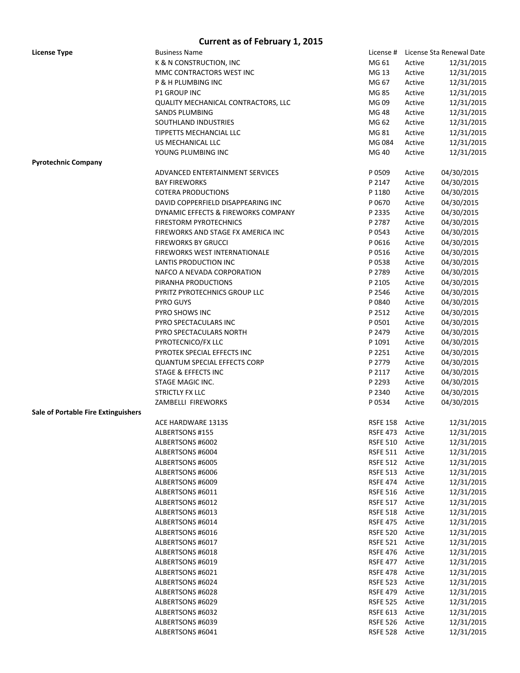| <b>License Type</b>                 | <b>Business Name</b>                       |                 |                 | License # License Sta Renewal Date |
|-------------------------------------|--------------------------------------------|-----------------|-----------------|------------------------------------|
|                                     | K & N CONSTRUCTION, INC                    | MG 61           | Active          | 12/31/2015                         |
|                                     | MMC CONTRACTORS WEST INC                   | MG 13           | Active          | 12/31/2015                         |
|                                     | P & H PLUMBING INC                         | MG 67           | Active          | 12/31/2015                         |
|                                     | <b>P1 GROUP INC</b>                        | MG 85           | Active          | 12/31/2015                         |
|                                     | <b>QUALITY MECHANICAL CONTRACTORS, LLC</b> | MG 09           | Active          | 12/31/2015                         |
|                                     | SANDS PLUMBING                             | MG 48           | Active          | 12/31/2015                         |
|                                     | SOUTHLAND INDUSTRIES                       | MG 62           | Active          | 12/31/2015                         |
|                                     | TIPPETTS MECHANCIAL LLC                    | MG 81           | Active          | 12/31/2015                         |
|                                     | US MECHANICAL LLC                          | MG 084          | Active          | 12/31/2015                         |
|                                     | YOUNG PLUMBING INC                         | MG 40           | Active          | 12/31/2015                         |
| <b>Pyrotechnic Company</b>          |                                            |                 |                 |                                    |
|                                     | ADVANCED ENTERTAINMENT SERVICES            | P 0509          | Active          | 04/30/2015                         |
|                                     |                                            | P 2147          |                 |                                    |
|                                     | <b>BAY FIREWORKS</b>                       |                 | Active          | 04/30/2015                         |
|                                     | <b>COTERA PRODUCTIONS</b>                  | P 1180          | Active          | 04/30/2015                         |
|                                     | DAVID COPPERFIELD DISAPPEARING INC         | P 0670          | Active          | 04/30/2015                         |
|                                     | DYNAMIC EFFECTS & FIREWORKS COMPANY        | P 2335          | Active          | 04/30/2015                         |
|                                     | FIRESTORM PYROTECHNICS                     | P 2787          | Active          | 04/30/2015                         |
|                                     | FIREWORKS AND STAGE FX AMERICA INC         | P 0543          | Active          | 04/30/2015                         |
|                                     | <b>FIREWORKS BY GRUCCI</b>                 | P 0616          | Active          | 04/30/2015                         |
|                                     | <b>FIREWORKS WEST INTERNATIONALE</b>       | P0516           | Active          | 04/30/2015                         |
|                                     | LANTIS PRODUCTION INC                      | P 0538          | Active          | 04/30/2015                         |
|                                     | NAFCO A NEVADA CORPORATION                 | P 2789          | Active          | 04/30/2015                         |
|                                     | PIRANHA PRODUCTIONS                        | P 2105          | Active          | 04/30/2015                         |
|                                     | PYRITZ PYROTECHNICS GROUP LLC              | P 2546          | Active          | 04/30/2015                         |
|                                     | <b>PYRO GUYS</b>                           | P 0840          | Active          | 04/30/2015                         |
|                                     | PYRO SHOWS INC                             | P 2512          | Active          | 04/30/2015                         |
|                                     | PYRO SPECTACULARS INC                      | P 0501          | Active          | 04/30/2015                         |
|                                     | PYRO SPECTACULARS NORTH                    | P 2479          | Active          | 04/30/2015                         |
|                                     | PYROTECNICO/FX LLC                         | P 1091          | Active          | 04/30/2015                         |
|                                     | PYROTEK SPECIAL EFFECTS INC                | P 2251          | Active          | 04/30/2015                         |
|                                     | <b>QUANTUM SPECIAL EFFECTS CORP</b>        | P 2779          | Active          | 04/30/2015                         |
|                                     | STAGE & EFFECTS INC                        | P 2117          | Active          | 04/30/2015                         |
|                                     | <b>STAGE MAGIC INC.</b>                    | P 2293          | Active          | 04/30/2015                         |
|                                     | STRICTLY FX LLC                            | P 2340          | Active          | 04/30/2015                         |
|                                     | ZAMBELLI FIREWORKS                         | P 0534          | Active          | 04/30/2015                         |
| Sale of Portable Fire Extinguishers |                                            |                 |                 |                                    |
|                                     | ACE HARDWARE 1313S                         |                 | RSFE 158 Active | 12/31/2015                         |
|                                     | ALBERTSONS #155                            | <b>RSFE 473</b> | Active          | 12/31/2015                         |
|                                     | ALBERTSONS #6002                           | <b>RSFE 510</b> | Active          | 12/31/2015                         |
|                                     | ALBERTSONS #6004                           | <b>RSFE 511</b> | Active          | 12/31/2015                         |
|                                     | ALBERTSONS #6005                           | <b>RSFE 512</b> | Active          | 12/31/2015                         |
|                                     | ALBERTSONS #6006                           | <b>RSFE 513</b> | Active          | 12/31/2015                         |
|                                     | ALBERTSONS #6009                           | <b>RSFE 474</b> | Active          | 12/31/2015                         |
|                                     | ALBERTSONS #6011                           | <b>RSFE 516</b> | Active          | 12/31/2015                         |
|                                     | ALBERTSONS #6012                           | <b>RSFE 517</b> | Active          | 12/31/2015                         |
|                                     | ALBERTSONS #6013                           | <b>RSFE 518</b> | Active          | 12/31/2015                         |
|                                     | ALBERTSONS #6014                           | <b>RSFE 475</b> |                 | 12/31/2015                         |
|                                     | ALBERTSONS #6016                           |                 | Active          |                                    |
|                                     |                                            | <b>RSFE 520</b> | Active          | 12/31/2015                         |
|                                     | ALBERTSONS #6017                           | <b>RSFE 521</b> | Active          | 12/31/2015                         |
|                                     | ALBERTSONS #6018                           | <b>RSFE 476</b> | Active          | 12/31/2015                         |
|                                     | ALBERTSONS #6019                           | <b>RSFE 477</b> | Active          | 12/31/2015                         |
|                                     | ALBERTSONS #6021                           | <b>RSFE 478</b> | Active          | 12/31/2015                         |
|                                     | ALBERTSONS #6024                           | <b>RSFE 523</b> | Active          | 12/31/2015                         |
|                                     | ALBERTSONS #6028                           | <b>RSFE 479</b> | Active          | 12/31/2015                         |
|                                     | ALBERTSONS #6029                           | <b>RSFE 525</b> | Active          | 12/31/2015                         |
|                                     | ALBERTSONS #6032                           | <b>RSFE 613</b> | Active          | 12/31/2015                         |
|                                     | ALBERTSONS #6039                           | <b>RSFE 526</b> | Active          | 12/31/2015                         |
|                                     | ALBERTSONS #6041                           | <b>RSFE 528</b> | Active          | 12/31/2015                         |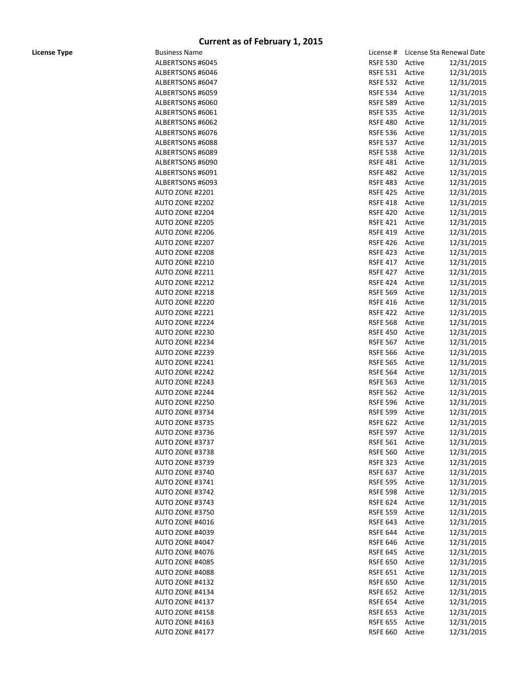| <b>Business Name</b>   |
|------------------------|
| ALBERTSONS #6045       |
| ALBERTSONS #6046       |
| ALBERTSONS #6047       |
| ALBERTSONS #6059       |
|                        |
| ALBERTSONS #6060       |
| ALBERTSONS #6061       |
| ALBERTSONS #6062       |
| ALBERTSONS #6076       |
| ALBERTSONS #6088       |
| ALBERTSONS #6089       |
| ALBERTSONS #6090       |
| ALBERTSONS #6091       |
| ALBERTSONS #6093       |
| AUTO ZONE #2201        |
|                        |
| AUTO ZONE #2202        |
| AUTO ZONE #2204        |
| AUTO ZONE #2205        |
| AUTO ZONE #2206        |
| AUTO ZONE #2207        |
| AUTO ZONE #2208        |
| AUTO ZONE #2210        |
| AUTO ZONE #2211        |
| AUTO ZONE #2212        |
| AUTO ZONE #2218        |
| AUTO ZONE #2220        |
| <b>AUTO ZONE #2221</b> |
|                        |
| <b>AUTO ZONE #2224</b> |
| AUTO ZONE #2230        |
| AUTO ZONE #2234        |
| AUTO ZONE #2239        |
| AUTO ZONE #2241        |
| AUTO ZONE #2242        |
| AUTO ZONE #2243        |
| <b>AUTO ZONE #2244</b> |
| AUTO ZONE #2250        |
| AUTO ZONE #3734        |
| AUTO ZONE #3735        |
| AUTO ZONE #3736        |
|                        |
| AUTO ZONE #3737        |
| AUTO ZONE #3738        |
| AUTO ZONE #3739        |
| AUTO ZONE #3740        |
| AUTO ZONE #3741        |
| AUTO ZONE #3742        |
| AUTO ZONE #3743        |
| AUTO ZONE #3750        |
| AUTO ZONE #4016        |
| AUTO ZONE #4039        |
| AUTO ZONE #4047        |
| AUTO ZONE #4076        |
| AUTO ZONE #4085        |
|                        |
| AUTO ZONE #4088        |
| AUTO ZONE #4132        |
| AUTO ZONE #4134        |
| AUTO ZONE #4137        |
| AUTO ZONE #4158        |
| AUTO ZONE #4163        |
| AUTO ZONE #4177        |

| <b>License Type</b> | <b>Business Name</b> |                 |        | License # License Sta Renewal Date |
|---------------------|----------------------|-----------------|--------|------------------------------------|
|                     | ALBERTSONS #6045     | RSFE 530 Active |        | 12/31/2015                         |
|                     | ALBERTSONS #6046     | RSFE 531 Active |        | 12/31/2015                         |
|                     | ALBERTSONS #6047     | RSFE 532 Active |        | 12/31/2015                         |
|                     | ALBERTSONS #6059     | <b>RSFE 534</b> | Active | 12/31/2015                         |
|                     | ALBERTSONS #6060     | <b>RSFE 589</b> | Active | 12/31/2015                         |
|                     | ALBERTSONS #6061     | <b>RSFE 535</b> | Active | 12/31/2015                         |
|                     | ALBERTSONS #6062     | <b>RSFE 480</b> | Active | 12/31/2015                         |
|                     | ALBERTSONS #6076     | <b>RSFE 536</b> | Active | 12/31/2015                         |
|                     | ALBERTSONS #6088     | <b>RSFE 537</b> | Active | 12/31/2015                         |
|                     | ALBERTSONS #6089     | <b>RSFE 538</b> | Active | 12/31/2015                         |
|                     | ALBERTSONS #6090     | <b>RSFE 481</b> | Active | 12/31/2015                         |
|                     | ALBERTSONS #6091     | <b>RSFE 482</b> | Active | 12/31/2015                         |
|                     | ALBERTSONS #6093     | <b>RSFE 483</b> | Active | 12/31/2015                         |
|                     | AUTO ZONE #2201      | <b>RSFE 425</b> | Active | 12/31/2015                         |
|                     | AUTO ZONE #2202      | <b>RSFE 418</b> | Active | 12/31/2015                         |
|                     | AUTO ZONE #2204      | <b>RSFE 420</b> | Active | 12/31/2015                         |
|                     | AUTO ZONE #2205      | <b>RSFE 421</b> | Active | 12/31/2015                         |
|                     | AUTO ZONE #2206      | <b>RSFE 419</b> | Active | 12/31/2015                         |
|                     | AUTO ZONE #2207      | <b>RSFE 426</b> | Active | 12/31/2015                         |
|                     | AUTO ZONE #2208      | <b>RSFE 423</b> | Active | 12/31/2015                         |
|                     |                      |                 |        |                                    |
|                     | AUTO ZONE #2210      | <b>RSFE 417</b> | Active | 12/31/2015                         |
|                     | AUTO ZONE #2211      | <b>RSFE 427</b> | Active | 12/31/2015                         |
|                     | AUTO ZONE #2212      | <b>RSFE 424</b> | Active | 12/31/2015                         |
|                     | AUTO ZONE #2218      | <b>RSFE 569</b> | Active | 12/31/2015                         |
|                     | AUTO ZONE #2220      | <b>RSFE 416</b> | Active | 12/31/2015                         |
|                     | AUTO ZONE #2221      | <b>RSFE 422</b> | Active | 12/31/2015                         |
|                     | AUTO ZONE #2224      | <b>RSFE 568</b> | Active | 12/31/2015                         |
|                     | AUTO ZONE #2230      | <b>RSFE 450</b> | Active | 12/31/2015                         |
|                     | AUTO ZONE #2234      | <b>RSFE 567</b> | Active | 12/31/2015                         |
|                     | AUTO ZONE #2239      | <b>RSFE 566</b> | Active | 12/31/2015                         |
|                     | AUTO ZONE #2241      | <b>RSFE 565</b> | Active | 12/31/2015                         |
|                     | AUTO ZONE #2242      | <b>RSFE 564</b> | Active | 12/31/2015                         |
|                     | AUTO ZONE #2243      | <b>RSFE 563</b> | Active | 12/31/2015                         |
|                     | AUTO ZONE #2244      | <b>RSFE 562</b> | Active | 12/31/2015                         |
|                     | AUTO ZONE #2250      | <b>RSFE 596</b> | Active | 12/31/2015                         |
|                     | AUTO ZONE #3734      | <b>RSFE 599</b> | Active | 12/31/2015                         |
|                     | AUTO ZONE #3735      | RSFE 622 Active |        | 12/31/2015                         |
|                     | AUTO ZONE #3736      | RSFE 597 Active |        | 12/31/2015                         |
|                     | AUTO ZONE #3737      | <b>RSFE 561</b> | Active | 12/31/2015                         |
|                     | AUTO ZONE #3738      | <b>RSFE 560</b> | Active | 12/31/2015                         |
|                     | AUTO ZONE #3739      | <b>RSFE 323</b> | Active | 12/31/2015                         |
|                     | AUTO ZONE #3740      | <b>RSFE 637</b> | Active | 12/31/2015                         |
|                     | AUTO ZONE #3741      | <b>RSFE 595</b> | Active | 12/31/2015                         |
|                     | AUTO ZONE #3742      | <b>RSFE 598</b> | Active | 12/31/2015                         |
|                     | AUTO ZONE #3743      | <b>RSFE 624</b> | Active | 12/31/2015                         |
|                     | AUTO ZONE #3750      | <b>RSFE 559</b> | Active | 12/31/2015                         |
|                     | AUTO ZONE #4016      | <b>RSFE 643</b> | Active | 12/31/2015                         |
|                     | AUTO ZONE #4039      | <b>RSFE 644</b> | Active | 12/31/2015                         |
|                     | AUTO ZONE #4047      | <b>RSFE 646</b> | Active | 12/31/2015                         |
|                     | AUTO ZONE #4076      | <b>RSFE 645</b> | Active | 12/31/2015                         |
|                     | AUTO ZONE #4085      | <b>RSFE 650</b> | Active | 12/31/2015                         |
|                     | AUTO ZONE #4088      | <b>RSFE 651</b> | Active | 12/31/2015                         |
|                     | AUTO ZONE #4132      | <b>RSFE 650</b> | Active | 12/31/2015                         |
|                     | AUTO ZONE #4134      | <b>RSFE 652</b> | Active | 12/31/2015                         |
|                     | AUTO ZONE #4137      | <b>RSFE 654</b> | Active | 12/31/2015                         |
|                     | AUTO ZONE #4158      | <b>RSFE 653</b> |        |                                    |
|                     |                      |                 | Active | 12/31/2015                         |
|                     | AUTO ZONE #4163      | <b>RSFE 655</b> | Active | 12/31/2015                         |
|                     | AUTO ZONE #4177      | RSFE 660 Active |        | 12/31/2015                         |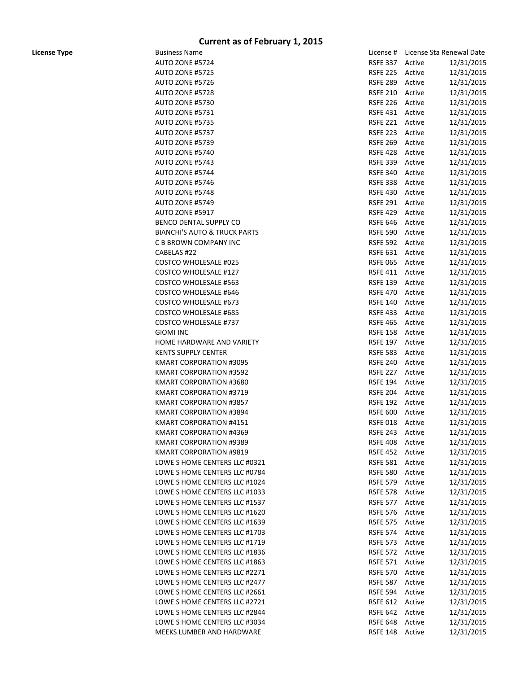| License Type | <b>Business Name</b>                                             |                 |        | License # License Sta Renewal Date |
|--------------|------------------------------------------------------------------|-----------------|--------|------------------------------------|
|              | AUTO ZONE #5724                                                  | RSFE 337 Active |        | 12/31/201                          |
|              | AUTO ZONE #5725                                                  | <b>RSFE 225</b> | Active | 12/31/2015                         |
|              | AUTO ZONE #5726                                                  | <b>RSFE 289</b> | Active | 12/31/2015                         |
|              | AUTO ZONE #5728                                                  | RSFE 210 Active |        | 12/31/2015                         |
|              | AUTO ZONE #5730                                                  | RSFE 226 Active |        | 12/31/2015                         |
|              | AUTO ZONE #5731                                                  | RSFE 431 Active |        | 12/31/201                          |
|              | AUTO ZONE #5735                                                  | RSFE 221 Active |        | 12/31/2015                         |
|              | AUTO ZONE #5737                                                  | RSFE 223 Active |        | 12/31/2015                         |
|              | AUTO ZONE #5739                                                  | <b>RSFE 269</b> | Active | 12/31/2015                         |
|              | AUTO ZONE #5740                                                  | RSFE 428 Active |        | 12/31/2015                         |
|              | AUTO ZONE #5743                                                  | <b>RSFE 339</b> | Active | 12/31/2015                         |
|              | AUTO ZONE #5744                                                  | <b>RSFE 340</b> | Active | 12/31/2015                         |
|              | AUTO ZONE #5746                                                  | <b>RSFE 338</b> | Active | 12/31/2015                         |
|              | AUTO ZONE #5748                                                  | <b>RSFE 430</b> | Active | 12/31/2015                         |
|              | AUTO ZONE #5749                                                  | RSFE 291 Active |        | 12/31/2015                         |
|              | AUTO ZONE #5917                                                  | <b>RSFE 429</b> | Active | 12/31/2015                         |
|              | BENCO DENTAL SUPPLY CO                                           | <b>RSFE 646</b> | Active | 12/31/2015                         |
|              | <b>BIANCHI'S AUTO &amp; TRUCK PARTS</b>                          | RSFE 590 Active |        | 12/31/2015                         |
|              | C B BROWN COMPANY INC                                            | RSFE 592 Active |        | 12/31/201                          |
|              | CABELAS #22                                                      | RSFE 631 Active |        | 12/31/2019                         |
|              | COSTCO WHOLESALE #025                                            | <b>RSFE 065</b> | Active | 12/31/2015                         |
|              | <b>COSTCO WHOLESALE #127</b>                                     | RSFE 411 Active |        | 12/31/201                          |
|              | <b>COSTCO WHOLESALE #563</b>                                     | <b>RSFE 139</b> | Active | 12/31/2015                         |
|              | COSTCO WHOLESALE #646                                            | <b>RSFE 470</b> | Active | 12/31/2015                         |
|              | COSTCO WHOLESALE #673                                            | <b>RSFE 140</b> | Active | 12/31/201                          |
|              | <b>COSTCO WHOLESALE #685</b>                                     | <b>RSFE 433</b> | Active | 12/31/201                          |
|              | <b>COSTCO WHOLESALE #737</b>                                     | <b>RSFE 465</b> | Active | 12/31/201                          |
|              | <b>GIOMI INC</b>                                                 | <b>RSFE 158</b> | Active | 12/31/201                          |
|              | HOME HARDWARE AND VARIETY                                        | RSFE 197 Active |        | 12/31/2015                         |
|              | <b>KENTS SUPPLY CENTER</b>                                       | RSFE 583 Active |        | 12/31/201                          |
|              | KMART CORPORATION #3095                                          | RSFE 240 Active |        | 12/31/201                          |
|              | KMART CORPORATION #3592                                          | RSFE 227 Active |        | 12/31/201                          |
|              | KMART CORPORATION #3680                                          | <b>RSFE 194</b> | Active | 12/31/201                          |
|              | KMART CORPORATION #3719                                          | <b>RSFE 204</b> | Active | 12/31/201                          |
|              | KMART CORPORATION #3857                                          | <b>RSFE 192</b> | Active | 12/31/2015                         |
|              | KMART CORPORATION #3894                                          | <b>RSFE 600</b> | Active | 12/31/2015                         |
|              | KMART CORPORATION #4151                                          | RSFE 018 Active |        | 12/31/2015                         |
|              |                                                                  |                 |        | 12/31/2015                         |
|              | <b>KMART CORPORATION #4369</b><br><b>KMART CORPORATION #9389</b> | <b>RSFE 243</b> | Active |                                    |
|              |                                                                  | <b>RSFE 408</b> | Active | 12/31/2015                         |
|              | <b>KMART CORPORATION #9819</b>                                   | <b>RSFE 452</b> | Active | 12/31/2015                         |
|              | LOWE S HOME CENTERS LLC #0321                                    | RSFE 581 Active |        | 12/31/2015                         |
|              | LOWE S HOME CENTERS LLC #0784                                    | <b>RSFE 580</b> | Active | 12/31/2015                         |
|              | LOWE S HOME CENTERS LLC #1024                                    | <b>RSFE 579</b> | Active | 12/31/2015                         |
|              | LOWE S HOME CENTERS LLC #1033                                    | <b>RSFE 578</b> | Active | 12/31/2015                         |
|              | LOWE S HOME CENTERS LLC #1537                                    | RSFE 577 Active |        | 12/31/2015                         |
|              | LOWE S HOME CENTERS LLC #1620                                    | <b>RSFE 576</b> | Active | 12/31/2015                         |
|              | LOWE S HOME CENTERS LLC #1639                                    | <b>RSFE 575</b> | Active | 12/31/2015                         |
|              | LOWE S HOME CENTERS LLC #1703                                    | <b>RSFE 574</b> | Active | 12/31/2015                         |
|              | LOWE S HOME CENTERS LLC #1719                                    | <b>RSFE 573</b> | Active | 12/31/2015                         |
|              | LOWE S HOME CENTERS LLC #1836                                    | RSFE 572 Active |        | 12/31/2015                         |
|              | LOWE S HOME CENTERS LLC #1863                                    | RSFE 571 Active |        | 12/31/2015                         |
|              | LOWE S HOME CENTERS LLC #2271                                    | <b>RSFE 570</b> | Active | 12/31/2015                         |
|              | LOWE S HOME CENTERS LLC #2477                                    | <b>RSFE 587</b> | Active | 12/31/2015                         |
|              | LOWE S HOME CENTERS LLC #2661                                    | <b>RSFE 594</b> | Active | 12/31/2015                         |
|              | LOWE S HOME CENTERS LLC #2721                                    | RSFE 612 Active |        | 12/31/2015                         |
|              | LOWE S HOME CENTERS LLC #2844                                    | RSFE 642 Active |        | 12/31/201                          |
|              | LOWE S HOME CENTERS LLC #3034                                    | RSFE 648 Active |        | 12/31/2015                         |

| <b>Business Name</b>                    | License #       | License Sta Renewal Date |            |
|-----------------------------------------|-----------------|--------------------------|------------|
| AUTO ZONE #5724                         | <b>RSFE 337</b> | Active                   | 12/31/2015 |
| AUTO ZONE #5725                         | <b>RSFE 225</b> | Active                   | 12/31/2015 |
| AUTO ZONE #5726                         | <b>RSFE 289</b> | Active                   | 12/31/2015 |
| AUTO ZONE #5728                         | <b>RSFE 210</b> | Active                   | 12/31/2015 |
| AUTO ZONE #5730                         | <b>RSFE 226</b> | Active                   | 12/31/2015 |
| AUTO ZONE #5731                         | <b>RSFE 431</b> | Active                   | 12/31/2015 |
| AUTO ZONE #5735                         | <b>RSFE 221</b> | Active                   | 12/31/2015 |
| AUTO ZONE #5737                         | <b>RSFE 223</b> | Active                   | 12/31/2015 |
| AUTO ZONE #5739                         | <b>RSFE 269</b> | Active                   | 12/31/2015 |
| AUTO ZONE #5740                         | <b>RSFE 428</b> | Active                   | 12/31/2015 |
| AUTO ZONE #5743                         | <b>RSFE 339</b> | Active                   | 12/31/2015 |
| AUTO ZONE #5744                         | <b>RSFE 340</b> | Active                   | 12/31/2015 |
| AUTO ZONE #5746                         | <b>RSFE 338</b> | Active                   | 12/31/2015 |
| AUTO ZONE #5748                         | <b>RSFE 430</b> | Active                   | 12/31/2015 |
| AUTO ZONE #5749                         | <b>RSFE 291</b> | Active                   | 12/31/2015 |
| AUTO ZONE #5917                         | <b>RSFE 429</b> | Active                   | 12/31/2015 |
| <b>BENCO DENTAL SUPPLY CO</b>           | <b>RSFE 646</b> | Active                   | 12/31/2015 |
| <b>BIANCHI'S AUTO &amp; TRUCK PARTS</b> | <b>RSFE 590</b> | Active                   | 12/31/2015 |
| C B BROWN COMPANY INC                   | <b>RSFE 592</b> | Active                   | 12/31/2015 |
| CABELAS #22                             | <b>RSFE 631</b> | Active                   | 12/31/2015 |
| <b>COSTCO WHOLESALE #025</b>            | <b>RSFE 065</b> | Active                   | 12/31/2015 |
| COSTCO WHOLESALE #127                   | <b>RSFE 411</b> | Active                   | 12/31/2015 |
| <b>COSTCO WHOLESALE #563</b>            | <b>RSFE 139</b> | Active                   | 12/31/2015 |
| COSTCO WHOLESALE #646                   | <b>RSFE 470</b> | Active                   | 12/31/2015 |
| COSTCO WHOLESALE #673                   | <b>RSFE 140</b> | Active                   | 12/31/2015 |
| <b>COSTCO WHOLESALE #685</b>            | <b>RSFE 433</b> | Active                   | 12/31/2015 |
| COSTCO WHOLESALE #737                   | <b>RSFE 465</b> | Active                   | 12/31/2015 |
| <b>GIOMI INC</b>                        | <b>RSFE 158</b> | Active                   | 12/31/2015 |
| HOME HARDWARE AND VARIETY               | <b>RSFE 197</b> | Active                   | 12/31/2015 |
| <b>KENTS SUPPLY CENTER</b>              | <b>RSFE 583</b> | Active                   | 12/31/2015 |
| KMART CORPORATION #3095                 | <b>RSFE 240</b> | Active                   | 12/31/2015 |
| KMART CORPORATION #3592                 | <b>RSFE 227</b> | Active                   | 12/31/2015 |
| <b>KMART CORPORATION #3680</b>          | <b>RSFE 194</b> | Active                   | 12/31/2015 |
| <b>KMART CORPORATION #3719</b>          | <b>RSFE 204</b> | Active                   | 12/31/2015 |
| <b>KMART CORPORATION #3857</b>          | <b>RSFE 192</b> | Active                   | 12/31/2015 |
| <b>KMART CORPORATION #3894</b>          | <b>RSFE 600</b> | Active                   | 12/31/2015 |
| KMART CORPORATION #4151                 | <b>RSFE 018</b> | Active                   | 12/31/2015 |
| KMART CORPORATION #4369                 | <b>RSFE 243</b> | Active                   | 12/31/2015 |
| <b>KMART CORPORATION #9389</b>          | <b>RSFE 408</b> | Active                   | 12/31/2015 |
| <b>KMART CORPORATION #9819</b>          | <b>RSFE 452</b> | Active                   | 12/31/2015 |
| LOWE S HOME CENTERS LLC #0321           | <b>RSFE 581</b> | Active                   | 12/31/2015 |
| LOWE S HOME CENTERS LLC #0784           | <b>RSFE 580</b> | Active                   | 12/31/2015 |
| LOWE S HOME CENTERS LLC #1024           | <b>RSFE 579</b> | Active                   | 12/31/2015 |
| LOWE S HOME CENTERS LLC #1033           | <b>RSFE 578</b> | Active                   | 12/31/2015 |
| LOWE S HOME CENTERS LLC #1537           | <b>RSFE 577</b> | Active                   | 12/31/2015 |
| LOWE S HOME CENTERS LLC #1620           | <b>RSFE 576</b> | Active                   | 12/31/2015 |
| LOWE S HOME CENTERS LLC #1639           | <b>RSFE 575</b> | Active                   | 12/31/2015 |
| LOWE S HOME CENTERS LLC #1703           | <b>RSFE 574</b> | Active                   | 12/31/2015 |
| LOWE S HOME CENTERS LLC #1719           | <b>RSFE 573</b> | Active                   | 12/31/2015 |
| LOWE S HOME CENTERS LLC #1836           | <b>RSFE 572</b> | Active                   | 12/31/2015 |
| LOWE S HOME CENTERS LLC #1863           | <b>RSFE 571</b> | Active                   | 12/31/2015 |
| LOWE S HOME CENTERS LLC #2271           | <b>RSFE 570</b> | Active                   | 12/31/2015 |
| LOWE S HOME CENTERS LLC #2477           | <b>RSFE 587</b> | Active                   | 12/31/2015 |
| LOWE S HOME CENTERS LLC #2661           | <b>RSFE 594</b> | Active                   | 12/31/2015 |
| LOWE S HOME CENTERS LLC #2721           | <b>RSFE 612</b> | Active                   | 12/31/2015 |
| LOWE S HOME CENTERS LLC #2844           | <b>RSFE 642</b> | Active                   | 12/31/2015 |
| LOWE S HOME CENTERS LLC #3034           | <b>RSFE 648</b> | Active                   | 12/31/2015 |
| MEEKS LUMBER AND HARDWARE               | <b>RSFE 148</b> | Active                   | 12/31/2015 |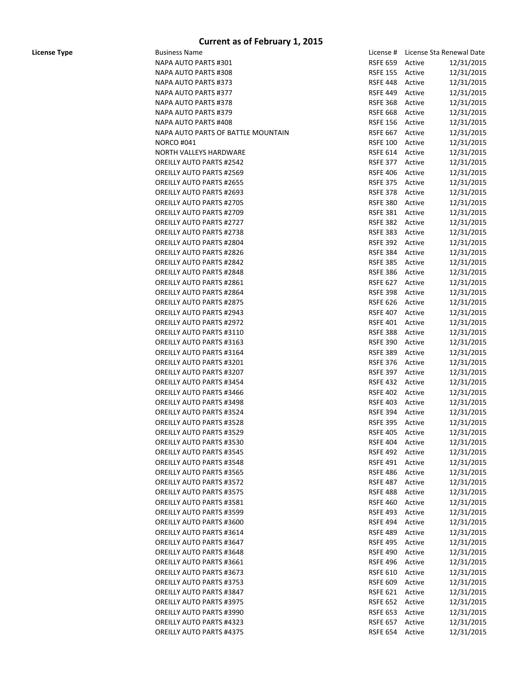| <b>License Type</b> | <b>Business Name</b>                                               |                                    |                  | License # License Sta Renewal Date |
|---------------------|--------------------------------------------------------------------|------------------------------------|------------------|------------------------------------|
|                     | NAPA AUTO PARTS #301                                               | RSFE 659 Active                    |                  | 12/31/2015                         |
|                     | NAPA AUTO PARTS #308                                               | RSFE 155 Active                    |                  | 12/31/2015                         |
|                     | NAPA AUTO PARTS #373                                               | RSFE 448 Active                    |                  | 12/31/2015                         |
|                     | NAPA AUTO PARTS #377                                               | RSFE 449 Active                    |                  | 12/31/2015                         |
|                     | NAPA AUTO PARTS #378                                               | RSFE 368 Active                    |                  | 12/31/2015                         |
|                     | NAPA AUTO PARTS #379                                               | RSFE 668 Active                    |                  | 12/31/2015                         |
|                     | NAPA AUTO PARTS #408                                               | RSFE 156 Active                    |                  | 12/31/2015                         |
|                     | NAPA AUTO PARTS OF BATTLE MOUNTAIN                                 | RSFE 667 Active                    |                  | 12/31/2015                         |
|                     | <b>NORCO #041</b>                                                  | RSFE 100 Active                    |                  | 12/31/2015                         |
|                     | NORTH VALLEYS HARDWARE                                             | RSFE 614 Active                    |                  | 12/31/2015                         |
|                     | <b>OREILLY AUTO PARTS #2542</b>                                    | RSFE 377 Active                    |                  | 12/31/2015                         |
|                     | OREILLY AUTO PARTS #2569                                           | RSFE 406 Active                    |                  | 12/31/2015                         |
|                     | <b>OREILLY AUTO PARTS #2655</b>                                    | RSFE 375 Active                    |                  | 12/31/2015                         |
|                     | <b>OREILLY AUTO PARTS #2693</b>                                    | RSFE 378 Active                    |                  | 12/31/2015                         |
|                     | <b>OREILLY AUTO PARTS #2705</b>                                    | RSFE 380 Active                    |                  | 12/31/2015                         |
|                     | <b>OREILLY AUTO PARTS #2709</b>                                    | RSFE 381 Active                    |                  | 12/31/2015                         |
|                     | <b>OREILLY AUTO PARTS #2727</b>                                    | RSFE 382 Active                    |                  | 12/31/2015                         |
|                     | <b>OREILLY AUTO PARTS #2738</b>                                    | <b>RSFE 383</b>                    | Active           | 12/31/2015                         |
|                     | <b>OREILLY AUTO PARTS #2804</b>                                    | RSFE 392 Active                    |                  | 12/31/2015                         |
|                     | <b>OREILLY AUTO PARTS #2826</b>                                    | <b>RSFE 384</b>                    | Active           | 12/31/2015                         |
|                     | <b>OREILLY AUTO PARTS #2842</b>                                    | <b>RSFE 385</b>                    | Active           | 12/31/2015                         |
|                     | <b>OREILLY AUTO PARTS #2848</b>                                    | <b>RSFE 386</b>                    | Active           | 12/31/2015                         |
|                     | <b>OREILLY AUTO PARTS #2861</b>                                    | RSFE 627 Active                    |                  | 12/31/2015                         |
|                     | <b>OREILLY AUTO PARTS #2864</b>                                    | <b>RSFE 398</b>                    | Active           | 12/31/2015                         |
|                     | <b>OREILLY AUTO PARTS #2875</b>                                    | <b>RSFE 626</b>                    | Active           | 12/31/2015                         |
|                     | <b>OREILLY AUTO PARTS #2943</b>                                    | RSFE 407 Active                    |                  | 12/31/2015                         |
|                     | <b>OREILLY AUTO PARTS #2972</b>                                    | RSFE 401 Active                    |                  | 12/31/2015                         |
|                     | <b>OREILLY AUTO PARTS #3110</b>                                    | RSFE 388 Active                    |                  | 12/31/2015                         |
|                     | OREILLY AUTO PARTS #3163                                           | RSFE 390 Active                    |                  | 12/31/2015                         |
|                     | <b>OREILLY AUTO PARTS #3164</b>                                    | RSFE 389 Active                    |                  | 12/31/2015                         |
|                     | <b>OREILLY AUTO PARTS #3201</b>                                    | RSFE 376 Active                    |                  | 12/31/2015                         |
|                     | <b>OREILLY AUTO PARTS #3207</b>                                    | RSFE 397 Active                    |                  | 12/31/2015                         |
|                     | <b>OREILLY AUTO PARTS #3454</b>                                    | RSFE 432 Active                    |                  | 12/31/2015                         |
|                     | <b>OREILLY AUTO PARTS #3466</b>                                    | RSFE 402 Active                    |                  | 12/31/2015                         |
|                     | <b>OREILLY AUTO PARTS #3498</b>                                    | RSFE 403 Active                    |                  | 12/31/2015                         |
|                     | <b>OREILLY AUTO PARTS #3524</b>                                    | RSFE 394 Active                    |                  | 12/31/2015                         |
|                     | <b>OREILLY AUTO PARTS #3528</b>                                    | RSFE 395 Active                    |                  | 12/31/2015                         |
|                     | <b>OREILLY AUTO PARTS #3529</b>                                    | <b>RSFE 405</b>                    | Active           | 12/31/2015                         |
|                     | <b>OREILLY AUTO PARTS #3530</b>                                    | <b>RSFE 404</b>                    | Active           | 12/31/2015                         |
|                     | <b>OREILLY AUTO PARTS #3545</b>                                    | RSFE 492 Active                    |                  | 12/31/2015                         |
|                     | <b>OREILLY AUTO PARTS #3548</b>                                    | <b>RSFE 491</b>                    | Active           | 12/31/2015                         |
|                     | <b>OREILLY AUTO PARTS #3565</b>                                    | <b>RSFE 486</b>                    | Active           | 12/31/2015                         |
|                     | <b>OREILLY AUTO PARTS #3572</b>                                    | <b>RSFE 487</b>                    | Active           | 12/31/2015                         |
|                     | <b>OREILLY AUTO PARTS #3575</b>                                    | <b>RSFE 488</b>                    | Active           | 12/31/2015                         |
|                     | OREILLY AUTO PARTS #3581                                           | <b>RSFE 460</b>                    | Active           | 12/31/2015                         |
|                     | <b>OREILLY AUTO PARTS #3599</b>                                    | <b>RSFE 493</b>                    | Active           | 12/31/2015                         |
|                     | OREILLY AUTO PARTS #3600                                           | <b>RSFE 494</b>                    | Active           | 12/31/2015                         |
|                     | <b>OREILLY AUTO PARTS #3614</b>                                    | <b>RSFE 489</b>                    | Active           | 12/31/2015                         |
|                     | <b>OREILLY AUTO PARTS #3647</b>                                    | <b>RSFE 495</b>                    |                  |                                    |
|                     |                                                                    |                                    | Active           | 12/31/2015                         |
|                     | <b>OREILLY AUTO PARTS #3648</b><br><b>OREILLY AUTO PARTS #3661</b> | <b>RSFE 490</b><br><b>RSFE 496</b> | Active<br>Active | 12/31/2015<br>12/31/2015           |
|                     |                                                                    |                                    |                  |                                    |
|                     | <b>OREILLY AUTO PARTS #3673</b>                                    | <b>RSFE 610</b>                    | Active           | 12/31/2015                         |
|                     | <b>OREILLY AUTO PARTS #3753</b>                                    | <b>RSFE 609</b>                    | Active           | 12/31/2015                         |
|                     | <b>OREILLY AUTO PARTS #3847</b>                                    | RSFE 621 Active                    |                  | 12/31/2015                         |
|                     | <b>OREILLY AUTO PARTS #3975</b>                                    | RSFE 652 Active                    |                  | 12/31/2015                         |
|                     | <b>OREILLY AUTO PARTS #3990</b>                                    | RSFE 653 Active                    |                  | 12/31/2015                         |
|                     | <b>OREILLY AUTO PARTS #4323</b>                                    | RSFE 657 Active                    |                  | 12/31/2015                         |
|                     | <b>OREILLY AUTO PARTS #4375</b>                                    | RSFE 654 Active                    |                  | 12/31/2015                         |

| License #       |        | License Sta Renewal Date |
|-----------------|--------|--------------------------|
| <b>RSFE 659</b> | Active | 12/31/2015               |
| <b>RSFE 155</b> | Active | 12/31/2015               |
| <b>RSFE 448</b> | Active | 12/31/2015               |
| <b>RSFE 449</b> | Active | 12/31/2015               |
| <b>RSFE 368</b> | Active | 12/31/2015               |
| <b>RSFE 668</b> | Active | 12/31/2015               |
| <b>RSFE 156</b> | Active | 12/31/2015               |
| <b>RSFE 667</b> | Active | 12/31/2015               |
|                 |        |                          |
| <b>RSFE 100</b> | Active | 12/31/2015               |
| <b>RSFE 614</b> | Active | 12/31/2015               |
| <b>RSFE 377</b> | Active | 12/31/2015               |
| <b>RSFE 406</b> | Active | 12/31/2015               |
| <b>RSFE 375</b> | Active | 12/31/2015               |
| <b>RSFE 378</b> | Active | 12/31/2015               |
| <b>RSFE 380</b> | Active | 12/31/2015               |
| <b>RSFE 381</b> | Active | 12/31/2015               |
| <b>RSFE 382</b> | Active | 12/31/2015               |
| <b>RSFE 383</b> | Active | 12/31/2015               |
| <b>RSFE 392</b> | Active | 12/31/2015               |
| <b>RSFE 384</b> | Active | 12/31/2015               |
| <b>RSFE 385</b> | Active | 12/31/2015               |
| <b>RSFE 386</b> |        | 12/31/2015               |
|                 | Active |                          |
| <b>RSFE 627</b> | Active | 12/31/2015               |
| <b>RSFE 398</b> | Active | 12/31/2015               |
| <b>RSFE 626</b> | Active | 12/31/2015               |
| <b>RSFE 407</b> | Active | 12/31/2015               |
| <b>RSFE 401</b> | Active | 12/31/2015               |
| <b>RSFE 388</b> | Active | 12/31/2015               |
| <b>RSFE 390</b> | Active | 12/31/2015               |
| <b>RSFE 389</b> | Active | 12/31/2015               |
| <b>RSFE 376</b> | Active | 12/31/2015               |
| <b>RSFE 397</b> | Active | 12/31/2015               |
| <b>RSFE 432</b> | Active | 12/31/2015               |
| <b>RSFE 402</b> | Active | 12/31/2015               |
| <b>RSFE 403</b> | Active | 12/31/2015               |
| <b>RSFE 394</b> |        |                          |
|                 | Active | 12/31/2015               |
| <b>RSFE 395</b> | Active | 12/31/2015               |
| <b>RSFE 405</b> | Active | 12/31/2015               |
| <b>RSFE 404</b> | Active | 12/31/2015               |
| <b>RSFE 492</b> | Active | 12/31/2015               |
| <b>RSFE 491</b> | Active | 12/31/2015               |
| <b>RSFE 486</b> | Active | 12/31/2015               |
| <b>RSFE 487</b> | Active | 12/31/2015               |
| <b>RSFE 488</b> | Active | 12/31/2015               |
| <b>RSFE 460</b> | Active | 12/31/2015               |
| <b>RSFE 493</b> | Active | 12/31/2015               |
| <b>RSFE 494</b> | Active | 12/31/2015               |
| <b>RSFE 489</b> | Active | 12/31/2015               |
|                 |        |                          |
| <b>RSFE 495</b> | Active | 12/31/2015               |
| <b>RSFE 490</b> | Active | 12/31/2015               |
| <b>RSFE 496</b> | Active | 12/31/2015               |
| <b>RSFE 610</b> | Active | 12/31/2015               |
| <b>RSFE 609</b> | Active | 12/31/2015               |
| <b>RSFE 621</b> | Active | 12/31/2015               |
| <b>RSFE 652</b> | Active | 12/31/2015               |
| <b>RSFE 653</b> | Active | 12/31/2015               |
| <b>RSFE 657</b> | Active | 12/31/2015               |
| <b>RSFE 654</b> | Active | 12/31/2015               |
|                 |        |                          |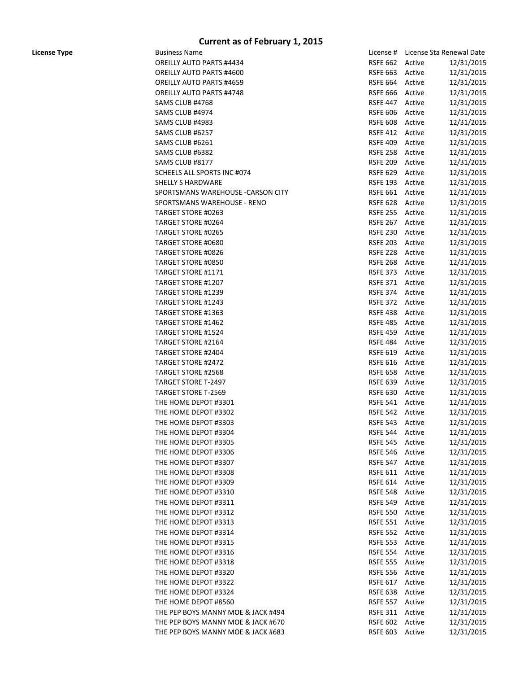| <b>License Type</b> | <b>Business Name</b>               |                 |        | License # License Sta Renewal Date |
|---------------------|------------------------------------|-----------------|--------|------------------------------------|
|                     | <b>OREILLY AUTO PARTS #4434</b>    | RSFE 662 Active |        | 12/31/2015                         |
|                     | <b>OREILLY AUTO PARTS #4600</b>    | RSFE 663 Active |        | 12/31/2015                         |
|                     | <b>OREILLY AUTO PARTS #4659</b>    | RSFE 664 Active |        | 12/31/2015                         |
|                     | <b>OREILLY AUTO PARTS #4748</b>    | RSFE 666 Active |        | 12/31/2015                         |
|                     | SAMS CLUB #4768                    | RSFE 447 Active |        | 12/31/2015                         |
|                     | SAMS CLUB #4974                    | RSFE 606 Active |        | 12/31/2015                         |
|                     | SAMS CLUB #4983                    | RSFE 608 Active |        | 12/31/2015                         |
|                     | SAMS CLUB #6257                    | RSFE 412 Active |        | 12/31/2015                         |
|                     | SAMS CLUB #6261                    | RSFE 409 Active |        | 12/31/2015                         |
|                     | SAMS CLUB #6382                    | RSFE 258 Active |        | 12/31/2015                         |
|                     | SAMS CLUB #8177                    | RSFE 209 Active |        | 12/31/2015                         |
|                     | SCHEELS ALL SPORTS INC #074        | RSFE 629 Active |        | 12/31/2015                         |
|                     | <b>SHELLY S HARDWARE</b>           | RSFE 193 Active |        | 12/31/2015                         |
|                     | SPORTSMANS WAREHOUSE - CARSON CITY | RSFE 661 Active |        | 12/31/2015                         |
|                     | SPORTSMANS WAREHOUSE - RENO        | RSFE 628 Active |        | 12/31/2015                         |
|                     | TARGET STORE #0263                 | RSFE 255 Active |        | 12/31/2015                         |
|                     | TARGET STORE #0264                 | RSFE 267 Active |        | 12/31/2015                         |
|                     | TARGET STORE #0265                 | RSFE 230 Active |        | 12/31/2015                         |
|                     | TARGET STORE #0680                 | RSFE 203 Active |        | 12/31/2015                         |
|                     | TARGET STORE #0826                 | RSFE 228 Active |        | 12/31/2015                         |
|                     | TARGET STORE #0850                 | RSFE 268 Active |        | 12/31/2015                         |
|                     | TARGET STORE #1171                 | RSFE 373 Active |        |                                    |
|                     |                                    | RSFE 371 Active |        | 12/31/2015                         |
|                     | TARGET STORE #1207                 |                 |        | 12/31/2015                         |
|                     | TARGET STORE #1239                 | RSFE 374 Active |        | 12/31/2015                         |
|                     | TARGET STORE #1243                 | RSFE 372 Active |        | 12/31/2015                         |
|                     | TARGET STORE #1363                 | RSFE 438 Active |        | 12/31/2015                         |
|                     | TARGET STORE #1462                 | RSFE 485 Active |        | 12/31/2015                         |
|                     | TARGET STORE #1524                 | RSFE 459 Active |        | 12/31/2015                         |
|                     | TARGET STORE #2164                 | RSFE 484 Active |        | 12/31/2015                         |
|                     | TARGET STORE #2404                 | RSFE 619 Active |        | 12/31/2015                         |
|                     | TARGET STORE #2472                 | RSFE 616 Active |        | 12/31/2015                         |
|                     | TARGET STORE #2568                 | RSFE 658 Active |        | 12/31/2015                         |
|                     | TARGET STORE T-2497                | RSFE 639 Active |        | 12/31/2015                         |
|                     | TARGET STORE T-2569                | RSFE 630 Active |        | 12/31/2015                         |
|                     | THE HOME DEPOT #3301               | RSFE 541 Active |        | 12/31/2015                         |
|                     | THE HOME DEPOT #3302               | RSFE 542 Active |        | 12/31/2015                         |
|                     | THE HOME DEPOT #3303               | RSFE 543 Active |        | 12/31/2015                         |
|                     | THE HOME DEPOT #3304               | <b>RSFE 544</b> | Active | 12/31/2015                         |
|                     | THE HOME DEPOT #3305               | <b>RSFE 545</b> | Active | 12/31/2015                         |
|                     | THE HOME DEPOT #3306               | <b>RSFE 546</b> | Active | 12/31/2015                         |
|                     | THE HOME DEPOT #3307               | RSFE 547 Active |        | 12/31/2015                         |
|                     | THE HOME DEPOT #3308               | <b>RSFE 611</b> | Active | 12/31/2015                         |
|                     | THE HOME DEPOT #3309               | <b>RSFE 614</b> | Active | 12/31/2015                         |
|                     | THE HOME DEPOT #3310               | <b>RSFE 548</b> | Active | 12/31/2015                         |
|                     | THE HOME DEPOT #3311               | <b>RSFE 549</b> | Active | 12/31/2015                         |
|                     | THE HOME DEPOT #3312               | <b>RSFE 550</b> | Active | 12/31/2015                         |
|                     | THE HOME DEPOT #3313               | <b>RSFE 551</b> | Active | 12/31/2015                         |
|                     | THE HOME DEPOT #3314               | RSFE 552 Active |        | 12/31/2015                         |
|                     | THE HOME DEPOT #3315               | <b>RSFE 553</b> | Active | 12/31/2015                         |
|                     | THE HOME DEPOT #3316               | <b>RSFE 554</b> | Active | 12/31/2015                         |
|                     | THE HOME DEPOT #3318               | <b>RSFE 555</b> | Active | 12/31/2015                         |
|                     | THE HOME DEPOT #3320               | <b>RSFE 556</b> | Active | 12/31/2015                         |
|                     | THE HOME DEPOT #3322               | RSFE 617 Active |        | 12/31/2015                         |
|                     | THE HOME DEPOT #3324               | <b>RSFE 638</b> | Active | 12/31/2015                         |
|                     | THE HOME DEPOT #8560               | RSFE 557 Active |        | 12/31/2015                         |
|                     | THE PEP BOYS MANNY MOE & JACK #494 | <b>RSFE 311</b> | Active | 12/31/2015                         |
|                     | THE PEP BOYS MANNY MOE & JACK #670 | RSFE 602 Active |        | 12/31/2015                         |
|                     | THE PEP BOYS MANNY MOE & JACK #683 | RSFE 603 Active |        | 12/31/2015                         |
|                     |                                    |                 |        |                                    |

| License #       |        | License Sta Renewal Date |
|-----------------|--------|--------------------------|
| RSFE 662        | Active | 12/31/2015               |
| <b>RSFE 663</b> | Active | 12/31/2015               |
| <b>RSFE 664</b> | Active | 12/31/2015               |
| <b>RSFE 666</b> | Active | 12/31/2015               |
| <b>RSFE 447</b> | Active | 12/31/2015               |
| <b>RSFE 606</b> | Active | 12/31/2015               |
| <b>RSFE 608</b> | Active | 12/31/2015               |
| <b>RSFE 412</b> | Active | 12/31/2015               |
| <b>RSFE 409</b> | Active | 12/31/2015               |
| <b>RSFE 258</b> | Active | 12/31/2015               |
| <b>RSFE 209</b> | Active | 12/31/2015               |
| <b>RSFE 629</b> | Active | 12/31/2015               |
| <b>RSFE 193</b> | Active | 12/31/2015               |
| <b>RSFE 661</b> |        |                          |
|                 | Active | 12/31/2015               |
| <b>RSFE 628</b> | Active | 12/31/2015               |
| <b>RSFE 255</b> | Active | 12/31/2015               |
| <b>RSFE 267</b> | Active | 12/31/2015               |
| <b>RSFE 230</b> | Active | 12/31/2015               |
| <b>RSFE 203</b> | Active | 12/31/2015               |
| <b>RSFE 228</b> | Active | 12/31/2015               |
| <b>RSFE 268</b> | Active | 12/31/2015               |
| <b>RSFE 373</b> | Active | 12/31/2015               |
| <b>RSFE 371</b> | Active | 12/31/2015               |
| <b>RSFE 374</b> | Active | 12/31/2015               |
| <b>RSFE 372</b> | Active | 12/31/2015               |
| RSFE 438        | Active | 12/31/2015               |
| <b>RSFE 485</b> | Active | 12/31/2015               |
| <b>RSFE 459</b> | Active | 12/31/2015               |
| <b>RSFE 484</b> | Active | 12/31/2015               |
| <b>RSFE 619</b> | Active | 12/31/2015               |
| <b>RSFE 616</b> | Active | 12/31/2015               |
| <b>RSFE 658</b> | Active | 12/31/2015               |
| <b>RSFE 639</b> | Active | 12/31/2015               |
| <b>RSFE 630</b> | Active | 12/31/2015               |
| <b>RSFE 541</b> | Active | 12/31/2015               |
| <b>RSFE 542</b> | Active | 12/31/2015               |
| <b>RSFE 543</b> | Active | 12/31/2015               |
| <b>RSFE 544</b> | Active | 12/31/2015               |
| <b>RSFE 545</b> | Active | 12/31/2015               |
| <b>RSFE 546</b> | Active | 12/31/2015               |
| <b>RSFE 547</b> | Active | 12/31/2015               |
| <b>RSFE 611</b> | Active | 12/31/2015               |
|                 |        | 12/31/2015               |
| RSFE 614        | Active |                          |
| <b>RSFE 548</b> | Active | 12/31/2015               |
| <b>RSFE 549</b> | Active | 12/31/2015               |
| RSFE 550        | Active | 12/31/2015               |
| <b>RSFE 551</b> | Active | 12/31/2015               |
| <b>RSFE 552</b> | Active | 12/31/2015               |
| <b>RSFE 553</b> | Active | 12/31/2015               |
| <b>RSFE 554</b> | Active | 12/31/2015               |
| <b>RSFE 555</b> | Active | 12/31/2015               |
| <b>RSFE 556</b> | Active | 12/31/2015               |
| <b>RSFE 617</b> | Active | 12/31/2015               |
| RSFE 638        | Active | 12/31/2015               |
| <b>RSFE 557</b> | Active | 12/31/2015               |
| <b>RSFE 311</b> | Active | 12/31/2015               |
| <b>RSFE 602</b> | Active | 12/31/2015               |
| <b>RSFE 603</b> | Active | 12/31/2015               |